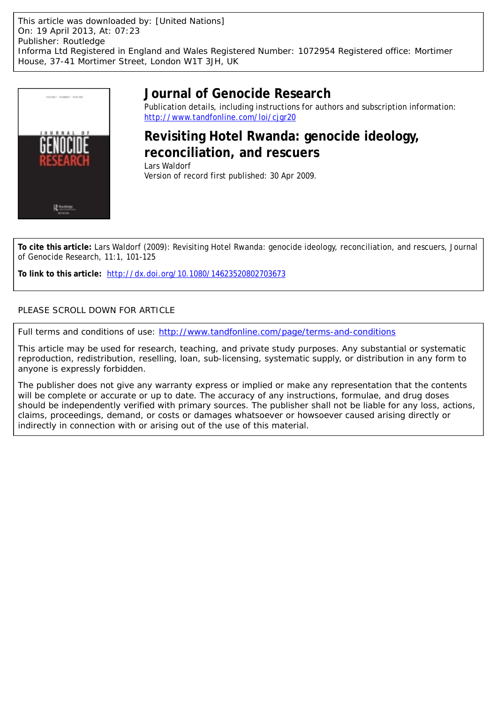

# **Journal of Genocide Research**

Publication details, including instructions for authors and subscription information: <http://www.tandfonline.com/loi/cjgr20>

# **Revisiting Hotel Rwanda: genocide ideology, reconciliation, and rescuers**

Lars Waldorf Version of record first published: 30 Apr 2009.

**To cite this article:** Lars Waldorf (2009): Revisiting Hotel Rwanda: genocide ideology, reconciliation, and rescuers, Journal of Genocide Research, 11:1, 101-125

**To link to this article:** <http://dx.doi.org/10.1080/14623520802703673>

## PLEASE SCROLL DOWN FOR ARTICLE

Full terms and conditions of use:<http://www.tandfonline.com/page/terms-and-conditions>

This article may be used for research, teaching, and private study purposes. Any substantial or systematic reproduction, redistribution, reselling, loan, sub-licensing, systematic supply, or distribution in any form to anyone is expressly forbidden.

The publisher does not give any warranty express or implied or make any representation that the contents will be complete or accurate or up to date. The accuracy of any instructions, formulae, and drug doses should be independently verified with primary sources. The publisher shall not be liable for any loss, actions, claims, proceedings, demand, or costs or damages whatsoever or howsoever caused arising directly or indirectly in connection with or arising out of the use of this material.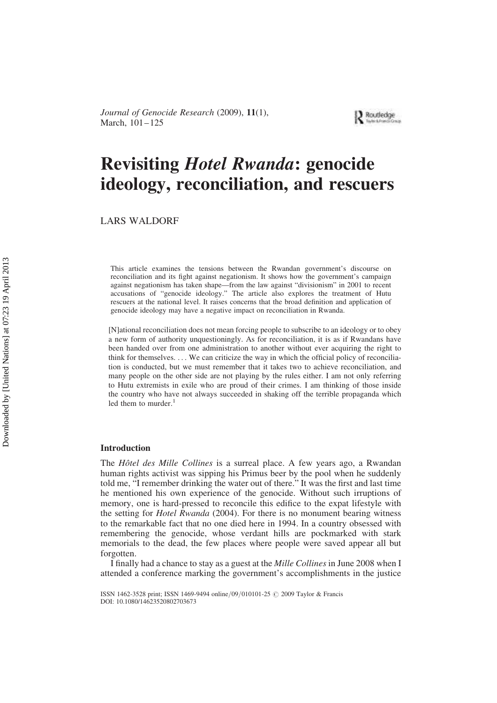

# Revisiting Hotel Rwanda: genocide ideology, reconciliation, and rescuers

LARS WALDORF

This article examines the tensions between the Rwandan government's discourse on reconciliation and its fight against negationism. It shows how the government's campaign against negationism has taken shape—from the law against "divisionism" in 2001 to recent accusations of "genocide ideology." The article also explores the treatment of Hutu rescuers at the national level. It raises concerns that the broad definition and application of genocide ideology may have a negative impact on reconciliation in Rwanda.

[N]ational reconciliation does not mean forcing people to subscribe to an ideology or to obey a new form of authority unquestioningly. As for reconciliation, it is as if Rwandans have been handed over from one administration to another without ever acquiring the right to think for themselves. . . . We can criticize the way in which the official policy of reconciliation is conducted, but we must remember that it takes two to achieve reconciliation, and many people on the other side are not playing by the rules either. I am not only referring to Hutu extremists in exile who are proud of their crimes. I am thinking of those inside the country who have not always succeeded in shaking off the terrible propaganda which led them to murder. $\frac{1}{1}$ 

#### Introduction

The *Hôtel des Mille Collines* is a surreal place. A few years ago, a Rwandan human rights activist was sipping his Primus beer by the pool when he suddenly told me, "I remember drinking the water out of there." It was the first and last time he mentioned his own experience of the genocide. Without such irruptions of memory, one is hard-pressed to reconcile this edifice to the expat lifestyle with the setting for *Hotel Rwanda* (2004). For there is no monument bearing witness to the remarkable fact that no one died here in 1994. In a country obsessed with remembering the genocide, whose verdant hills are pockmarked with stark memorials to the dead, the few places where people were saved appear all but forgotten.

I finally had a chance to stay as a guest at the Mille Collines in June 2008 when I attended a conference marking the government's accomplishments in the justice

ISSN 1462-3528 print; ISSN 1469-9494 online/09/010101-25 © 2009 Taylor & Francis DOI: 10.1080/14623520802703673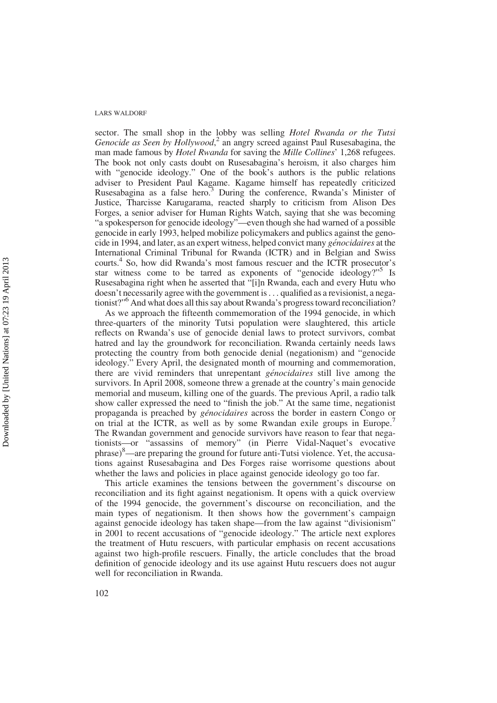sector. The small shop in the lobby was selling Hotel Rwanda or the Tutsi Genocide as Seen by  $\hat{H}$ ollywood,<sup>2</sup> an angry screed against Paul Rusesabagina, the man made famous by Hotel Rwanda for saving the Mille Collines' 1,268 refugees. The book not only casts doubt on Rusesabagina's heroism, it also charges him with "genocide ideology." One of the book's authors is the public relations adviser to President Paul Kagame. Kagame himself has repeatedly criticized Rusesabagina as a false hero.<sup>3</sup> During the conference, Rwanda's Minister of Justice, Tharcisse Karugarama, reacted sharply to criticism from Alison Des Forges, a senior adviser for Human Rights Watch, saying that she was becoming "a spokesperson for genocide ideology"—even though she had warned of a possible genocide in early 1993, helped mobilize policymakers and publics against the genocide in 1994, and later, as an expert witness, helped convict many *génocidaires* at the International Criminal Tribunal for Rwanda (ICTR) and in Belgian and Swiss courts.<sup>4</sup> So, how did Rwanda's most famous rescuer and the ICTR prosecutor's star witness come to be tarred as exponents of "genocide ideology?"<sup>5</sup> Is Rusesabagina right when he asserted that "[i]n Rwanda, each and every Hutu who doesn't necessarily agree with the government is. . . qualified as a revisionist, a negationist?"<sup>6</sup> And what does all this say about Rwanda's progress toward reconciliation?

As we approach the fifteenth commemoration of the 1994 genocide, in which three-quarters of the minority Tutsi population were slaughtered, this article reflects on Rwanda's use of genocide denial laws to protect survivors, combat hatred and lay the groundwork for reconciliation. Rwanda certainly needs laws protecting the country from both genocide denial (negationism) and "genocide ideology." Every April, the designated month of mourning and commemoration, there are vivid reminders that unrepentant *génocidaires* still live among the survivors. In April 2008, someone threw a grenade at the country's main genocide memorial and museum, killing one of the guards. The previous April, a radio talk show caller expressed the need to "finish the job." At the same time, negationist propaganda is preached by génocidaires across the border in eastern Congo or on trial at the ICTR, as well as by some Rwandan exile groups in Europe.<sup>7</sup> The Rwandan government and genocide survivors have reason to fear that negationists—or "assassins of memory" (in Pierre Vidal-Naquet's evocative phrase)8—are preparing the ground for future anti-Tutsi violence. Yet, the accusations against Rusesabagina and Des Forges raise worrisome questions about whether the laws and policies in place against genocide ideology go too far.

This article examines the tensions between the government's discourse on reconciliation and its fight against negationism. It opens with a quick overview of the 1994 genocide, the government's discourse on reconciliation, and the main types of negationism. It then shows how the government's campaign against genocide ideology has taken shape—from the law against "divisionism" in 2001 to recent accusations of "genocide ideology." The article next explores the treatment of Hutu rescuers, with particular emphasis on recent accusations against two high-profile rescuers. Finally, the article concludes that the broad definition of genocide ideology and its use against Hutu rescuers does not augur well for reconciliation in Rwanda.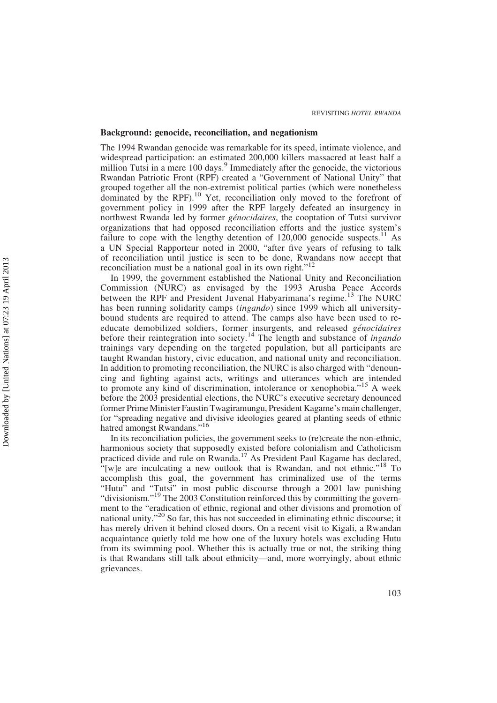#### Background: genocide, reconciliation, and negationism

The 1994 Rwandan genocide was remarkable for its speed, intimate violence, and widespread participation: an estimated 200,000 killers massacred at least half a million Tutsi in a mere 100 days.<sup>9</sup> Immediately after the genocide, the victorious Rwandan Patriotic Front (RPF) created a "Government of National Unity" that grouped together all the non-extremist political parties (which were nonetheless dominated by the RPF).<sup>10</sup> Yet, reconciliation only moved to the forefront of government policy in 1999 after the RPF largely defeated an insurgency in northwest Rwanda led by former génocidaires, the cooptation of Tutsi survivor organizations that had opposed reconciliation efforts and the justice system's failure to cope with the lengthy detention of  $120,000$  genocide suspects.<sup>11</sup> As a UN Special Rapporteur noted in 2000, "after five years of refusing to talk of reconciliation until justice is seen to be done, Rwandans now accept that reconciliation must be a national goal in its own right."<sup>12</sup>

In 1999, the government established the National Unity and Reconciliation Commission (NURC) as envisaged by the 1993 Arusha Peace Accords between the RPF and President Juvenal Habyarimana's regime.<sup>13</sup> The NURC has been running solidarity camps (ingando) since 1999 which all universitybound students are required to attend. The camps also have been used to reeducate demobilized soldiers, former insurgents, and released génocidaires before their reintegration into society.<sup>14</sup> The length and substance of *ingando* trainings vary depending on the targeted population, but all participants are taught Rwandan history, civic education, and national unity and reconciliation. In addition to promoting reconciliation, the NURC is also charged with "denouncing and fighting against acts, writings and utterances which are intended to promote any kind of discrimination, intolerance or xenophobia."<sup>15</sup> A week before the 2003 presidential elections, the NURC's executive secretary denounced former Prime Minister Faustin Twagiramungu, President Kagame's main challenger, for "spreading negative and divisive ideologies geared at planting seeds of ethnic hatred amongst Rwandans."<sup>16</sup>

In its reconciliation policies, the government seeks to (re)create the non-ethnic, harmonious society that supposedly existed before colonialism and Catholicism practiced divide and rule on Rwanda.<sup>17</sup> As President Paul Kagame has declared, "[w]e are inculcating a new outlook that is Rwandan, and not ethnic."<sup>18</sup> To accomplish this goal, the government has criminalized use of the terms "Hutu" and "Tutsi" in most public discourse through a 2001 law punishing "divisionism."<sup>19</sup> The 2003 Constitution reinforced this by committing the government to the "eradication of ethnic, regional and other divisions and promotion of national unity."<sup>20</sup> So far, this has not succeeded in eliminating ethnic discourse; it has merely driven it behind closed doors. On a recent visit to Kigali, a Rwandan acquaintance quietly told me how one of the luxury hotels was excluding Hutu from its swimming pool. Whether this is actually true or not, the striking thing is that Rwandans still talk about ethnicity—and, more worryingly, about ethnic grievances.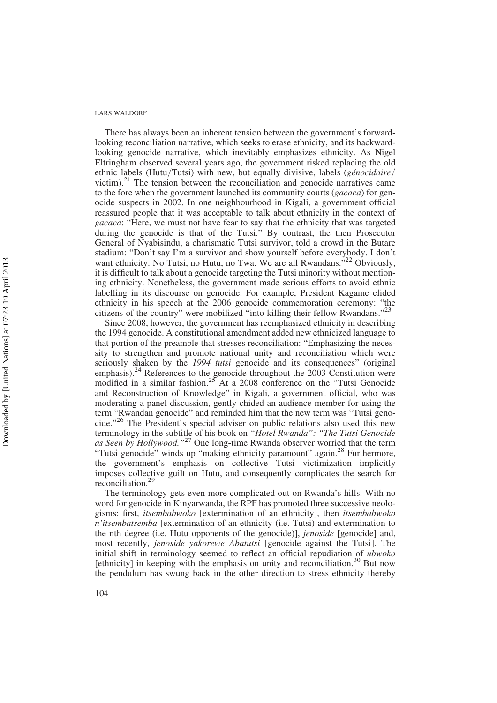There has always been an inherent tension between the government's forwardlooking reconciliation narrative, which seeks to erase ethnicity, and its backwardlooking genocide narrative, which inevitably emphasizes ethnicity. As Nigel Eltringham observed several years ago, the government risked replacing the old ethnic labels (Hutu/Tutsi) with new, but equally divisive, labels (génocidaire/ victim). $2<sup>1</sup>$  The tension between the reconciliation and genocide narratives came to the fore when the government launched its community courts (gacaca) for genocide suspects in 2002. In one neighbourhood in Kigali, a government official reassured people that it was acceptable to talk about ethnicity in the context of gacaca: "Here, we must not have fear to say that the ethnicity that was targeted during the genocide is that of the Tutsi." By contrast, the then Prosecutor General of Nyabisindu, a charismatic Tutsi survivor, told a crowd in the Butare stadium: "Don't say I'm a survivor and show yourself before everybody. I don't want ethnicity. No Tutsi, no Hutu, no Twa. We are all Rwandans."<sup>22</sup> Obviously, it is difficult to talk about a genocide targeting the Tutsi minority without mentioning ethnicity. Nonetheless, the government made serious efforts to avoid ethnic labelling in its discourse on genocide. For example, President Kagame elided ethnicity in his speech at the 2006 genocide commemoration ceremony: "the citizens of the country" were mobilized "into killing their fellow Rwandans."<sup>23</sup>

Since 2008, however, the government has reemphasized ethnicity in describing the 1994 genocide. A constitutional amendment added new ethnicized language to that portion of the preamble that stresses reconciliation: "Emphasizing the necessity to strengthen and promote national unity and reconciliation which were seriously shaken by the 1994 tutsi genocide and its consequences" (original emphasis).<sup>24</sup> References to the genocide throughout the 2003 Constitution were modified in a similar fashion.<sup>25</sup> At a 2008 conference on the "Tutsi Genocide and Reconstruction of Knowledge" in Kigali, a government official, who was moderating a panel discussion, gently chided an audience member for using the term "Rwandan genocide" and reminded him that the new term was "Tutsi genocide."<sup>26</sup> The President's special adviser on public relations also used this new terminology in the subtitle of his book on "Hotel Rwanda": "The Tutsi Genocide as Seen by Hollywood."<sup>27</sup> One long-time Rwanda observer worried that the term "Tutsi genocide" winds up "making ethnicity paramount" again.<sup>28</sup> Furthermore, the government's emphasis on collective Tutsi victimization implicitly imposes collective guilt on Hutu, and consequently complicates the search for reconciliation.<sup>29</sup>

The terminology gets even more complicated out on Rwanda's hills. With no word for genocide in Kinyarwanda, the RPF has promoted three successive neologisms: first, itsembabwoko [extermination of an ethnicity], then itsembabwoko n'itsembatsemba [extermination of an ethnicity (i.e. Tutsi) and extermination to the nth degree (i.e. Hutu opponents of the genocide)], jenoside [genocide] and, most recently, jenoside yakorewe Abatutsi [genocide against the Tutsi]. The initial shift in terminology seemed to reflect an official repudiation of ubwoko [ethnicity] in keeping with the emphasis on unity and reconciliation.<sup>30</sup> But now the pendulum has swung back in the other direction to stress ethnicity thereby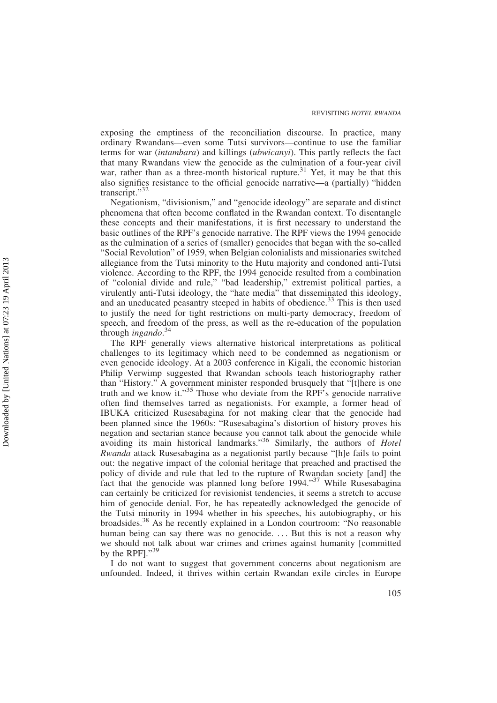exposing the emptiness of the reconciliation discourse. In practice, many ordinary Rwandans—even some Tutsi survivors—continue to use the familiar terms for war (intambara) and killings (ubwicanyi). This partly reflects the fact that many Rwandans view the genocide as the culmination of a four-year civil war, rather than as a three-month historical rupture.<sup>31</sup> Yet, it may be that this also signifies resistance to the official genocide narrative—a (partially) "hidden transcript."<sup>32</sup>

Negationism, "divisionism," and "genocide ideology" are separate and distinct phenomena that often become conflated in the Rwandan context. To disentangle these concepts and their manifestations, it is first necessary to understand the basic outlines of the RPF's genocide narrative. The RPF views the 1994 genocide as the culmination of a series of (smaller) genocides that began with the so-called "Social Revolution" of 1959, when Belgian colonialists and missionaries switched allegiance from the Tutsi minority to the Hutu majority and condoned anti-Tutsi violence. According to the RPF, the 1994 genocide resulted from a combination of "colonial divide and rule," "bad leadership," extremist political parties, a virulently anti-Tutsi ideology, the "hate media" that disseminated this ideology, and an uneducated peasantry steeped in habits of obedience.<sup>33</sup> This is then used to justify the need for tight restrictions on multi-party democracy, freedom of speech, and freedom of the press, as well as the re-education of the population through *ingando*.<sup>34</sup>

The RPF generally views alternative historical interpretations as political challenges to its legitimacy which need to be condemned as negationism or even genocide ideology. At a 2003 conference in Kigali, the economic historian Philip Verwimp suggested that Rwandan schools teach historiography rather than "History." A government minister responded brusquely that "[t]here is one truth and we know it."<sup>35</sup> Those who deviate from the RPF's genocide narrative often find themselves tarred as negationists. For example, a former head of IBUKA criticized Rusesabagina for not making clear that the genocide had been planned since the 1960s: "Rusesabagina's distortion of history proves his negation and sectarian stance because you cannot talk about the genocide while avoiding its main historical landmarks."<sup>36</sup> Similarly, the authors of *Hotel* Rwanda attack Rusesabagina as a negationist partly because "[h]e fails to point out: the negative impact of the colonial heritage that preached and practised the policy of divide and rule that led to the rupture of Rwandan society [and] the fact that the genocide was planned long before 1994.<sup>37</sup> While Rusesabagina can certainly be criticized for revisionist tendencies, it seems a stretch to accuse him of genocide denial. For, he has repeatedly acknowledged the genocide of the Tutsi minority in 1994 whether in his speeches, his autobiography, or his broadsides.<sup>38</sup> As he recently explained in a London courtroom: "No reasonable human being can say there was no genocide. ... But this is not a reason why we should not talk about war crimes and crimes against humanity [committed by the RPF]."39

I do not want to suggest that government concerns about negationism are unfounded. Indeed, it thrives within certain Rwandan exile circles in Europe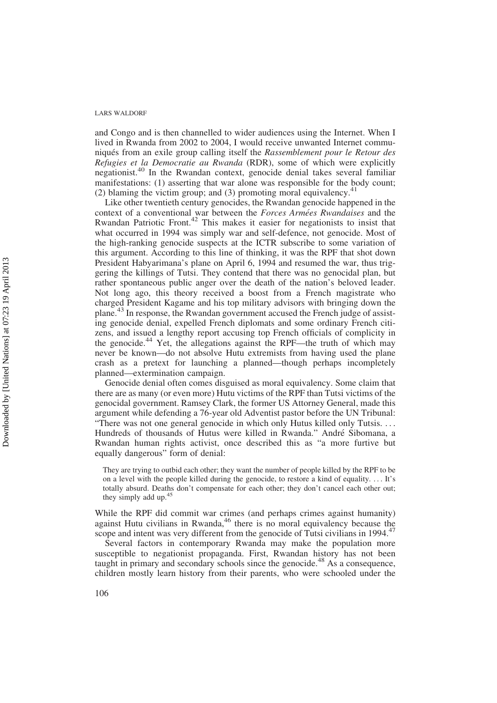and Congo and is then channelled to wider audiences using the Internet. When I lived in Rwanda from 2002 to 2004, I would receive unwanted Internet communiqués from an exile group calling itself the Rassemblement pour le Retour des Refugies et la Democratie au Rwanda (RDR), some of which were explicitly negationist.<sup>40</sup> In the Rwandan context, genocide denial takes several familiar manifestations: (1) asserting that war alone was responsible for the body count; (2) blaming the victim group; and (3) promoting moral equivalency.<sup>41</sup>

Like other twentieth century genocides, the Rwandan genocide happened in the context of a conventional war between the Forces Armées Rwandaises and the Rwandan Patriotic Front.<sup>42</sup> This makes it easier for negationists to insist that what occurred in 1994 was simply war and self-defence, not genocide. Most of the high-ranking genocide suspects at the ICTR subscribe to some variation of this argument. According to this line of thinking, it was the RPF that shot down President Habyarimana's plane on April 6, 1994 and resumed the war, thus triggering the killings of Tutsi. They contend that there was no genocidal plan, but rather spontaneous public anger over the death of the nation's beloved leader. Not long ago, this theory received a boost from a French magistrate who charged President Kagame and his top military advisors with bringing down the plane.<sup>43</sup> In response, the Rwandan government accused the French judge of assisting genocide denial, expelled French diplomats and some ordinary French citizens, and issued a lengthy report accusing top French officials of complicity in the genocide.<sup>44</sup> Yet, the allegations against the RPF—the truth of which may never be known—do not absolve Hutu extremists from having used the plane crash as a pretext for launching a planned—though perhaps incompletely planned—extermination campaign.

Genocide denial often comes disguised as moral equivalency. Some claim that there are as many (or even more) Hutu victims of the RPF than Tutsi victims of the genocidal government. Ramsey Clark, the former US Attorney General, made this argument while defending a 76-year old Adventist pastor before the UN Tribunal: "There was not one general genocide in which only Hutus killed only Tutsis. . . . Hundreds of thousands of Hutus were killed in Rwanda." Andre´ Sibomana, a Rwandan human rights activist, once described this as "a more furtive but equally dangerous" form of denial:

They are trying to outbid each other; they want the number of people killed by the RPF to be on a level with the people killed during the genocide, to restore a kind of equality. . . . It's totally absurd. Deaths don't compensate for each other; they don't cancel each other out; they simply add up.<sup>45</sup>

While the RPF did commit war crimes (and perhaps crimes against humanity) against Hutu civilians in Rwanda,  $46$  there is no moral equivalency because the scope and intent was very different from the genocide of Tutsi civilians in 1994.<sup>47</sup>

Several factors in contemporary Rwanda may make the population more susceptible to negationist propaganda. First, Rwandan history has not been taught in primary and secondary schools since the genocide.<sup>48</sup> As a consequence, children mostly learn history from their parents, who were schooled under the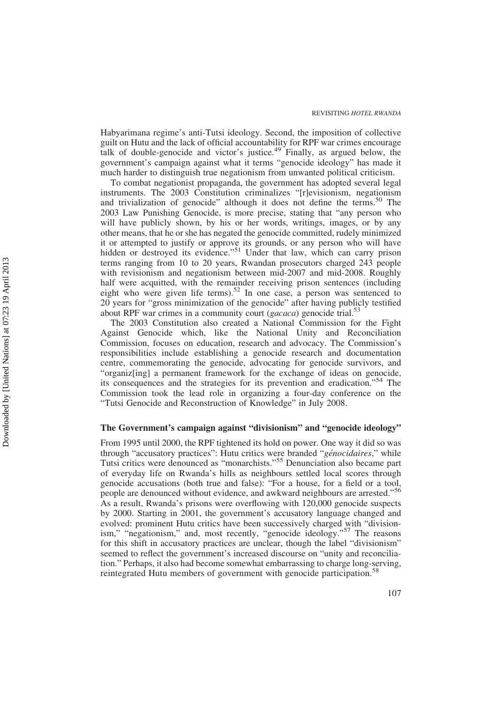Habyarimana regime's anti-Tutsi ideology. Second, the imposition of collective guilt on Hutu and the lack of official accountability for RPF war crimes encourage talk of double-genocide and victor's justice.<sup>49</sup> Finally, as argued below, the government's campaign against what it terms "genocide ideology" has made it much harder to distinguish true negationism from unwanted political criticism.

To combat negationist propaganda, the government has adopted several legal instruments. The 2003 Constitution criminalizes "[r]evisionism, negationism and trivialization of genocide" although it does not define the terms.<sup>50</sup> The 2003 Law Punishing Genocide, is more precise, stating that "any person who will have publicly shown, by his or her words, writings, images, or by any other means, that he or she has negated the genocide committed, rudely minimized it or attempted to justify or approve its grounds, or any person who will have hidden or destroyed its evidence."<sup>51</sup> Under that law, which can carry prison terms ranging from 10 to 20 years, Rwandan prosecutors charged 243 people with revisionism and negationism between mid-2007 and mid-2008. Roughly half were acquitted, with the remainder receiving prison sentences (including eight who were given life terms).<sup>52</sup> In one case, a person was sentenced to 20 years for "gross minimization of the genocide" after having publicly testified about RPF war crimes in a community court ( $gacaca$ ) genocide trial.<sup>53</sup>

The 2003 Constitution also created a National Commission for the Fight Against Genocide which, like the National Unity and Reconciliation Commission, focuses on education, research and advocacy. The Commission's responsibilities include establishing a genocide research and documentation centre, commemorating the genocide, advocating for genocide survivors, and "organiz[ing] a permanent framework for the exchange of ideas on genocide, its consequences and the strategies for its prevention and eradication."<sup>54</sup> The Commission took the lead role in organizing a four-day conference on the "Tutsi Genocide and Reconstruction of Knowledge" in July 2008.

#### The Government's campaign against "divisionism" and "genocide ideology"

From 1995 until 2000, the RPF tightened its hold on power. One way it did so was through "accusatory practices": Hutu critics were branded "génocidaires," while Tutsi critics were denounced as "monarchists."<sup>55</sup> Denunciation also became part of everyday life on Rwanda's hills as neighbours settled local scores through genocide accusations (both true and false): "For a house, for a field or a tool, people are denounced without evidence, and awkward neighbours are arrested."<sup>56</sup> As a result, Rwanda's prisons were overflowing with 120,000 genocide suspects by 2000. Starting in 2001, the government's accusatory language changed and evolved: prominent Hutu critics have been successively charged with "divisionism," "negationism," and, most recently, "genocide ideology."<sup>57</sup> The reasons for this shift in accusatory practices are unclear, though the label "divisionism" seemed to reflect the government's increased discourse on "unity and reconciliation." Perhaps, it also had become somewhat embarrassing to charge long-serving, reintegrated Hutu members of government with genocide participation.<sup>58</sup>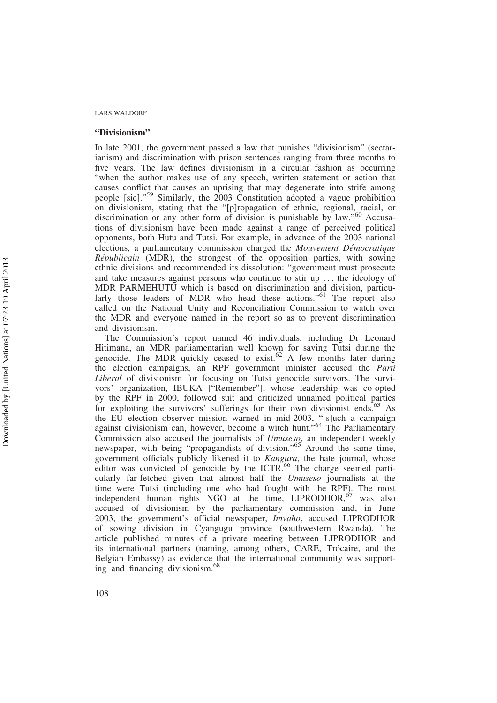#### "Divisionism"

In late 2001, the government passed a law that punishes "divisionism" (sectarianism) and discrimination with prison sentences ranging from three months to five years. The law defines divisionism in a circular fashion as occurring "when the author makes use of any speech, written statement or action that causes conflict that causes an uprising that may degenerate into strife among people [sic]."<sup>59</sup> Similarly, the 2003 Constitution adopted a vague prohibition on divisionism, stating that the "[p]ropagation of ethnic, regional, racial, or discrimination or any other form of division is punishable by law."<sup>60</sup> Accusations of divisionism have been made against a range of perceived political opponents, both Hutu and Tutsi. For example, in advance of the 2003 national elections, a parliamentary commission charged the *Mouvement Démocratique* Républicain (MDR), the strongest of the opposition parties, with sowing ethnic divisions and recommended its dissolution: "government must prosecute and take measures against persons who continue to stir up . . . the ideology of MDR PARMEHUTU which is based on discrimination and division, particularly those leaders of MDR who head these actions."<sup>61</sup> The report also called on the National Unity and Reconciliation Commission to watch over the MDR and everyone named in the report so as to prevent discrimination and divisionism.

The Commission's report named 46 individuals, including Dr Leonard Hitimana, an MDR parliamentarian well known for saving Tutsi during the genocide. The MDR quickly ceased to exist.<sup>62</sup> A few months later during the election campaigns, an RPF government minister accused the Parti Liberal of divisionism for focusing on Tutsi genocide survivors. The survivors' organization, IBUKA ["Remember"], whose leadership was co-opted by the RPF in 2000, followed suit and criticized unnamed political parties for exploiting the survivors' sufferings for their own divisionist ends.<sup>63</sup> As the EU election observer mission warned in mid-2003, "[s]uch a campaign against divisionism can, however, become a witch hunt."<sup>64</sup> The Parliamentary Commission also accused the journalists of Umuseso, an independent weekly newspaper, with being "propagandists of division."<sup>65</sup> Around the same time, government officials publicly likened it to Kangura, the hate journal, whose editor was convicted of genocide by the ICTR.<sup>66</sup> The charge seemed particularly far-fetched given that almost half the Umuseso journalists at the time were Tutsi (including one who had fought with the RPF). The most independent human rights NGO at the time, LIPRODHOR,<sup>67</sup> was also accused of divisionism by the parliamentary commission and, in June 2003, the government's official newspaper, Imvaho, accused LIPRODHOR of sowing division in Cyangugu province (southwestern Rwanda). The article published minutes of a private meeting between LIPRODHOR and its international partners (naming, among others, CARE, Trócaire, and the Belgian Embassy) as evidence that the international community was supporting and financing divisionism.<sup>68</sup>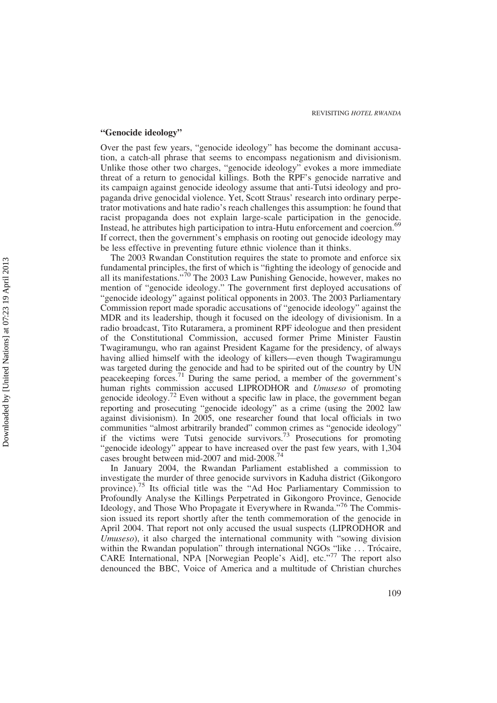#### "Genocide ideology"

Over the past few years, "genocide ideology" has become the dominant accusation, a catch-all phrase that seems to encompass negationism and divisionism. Unlike those other two charges, "genocide ideology" evokes a more immediate threat of a return to genocidal killings. Both the RPF's genocide narrative and its campaign against genocide ideology assume that anti-Tutsi ideology and propaganda drive genocidal violence. Yet, Scott Straus' research into ordinary perpetrator motivations and hate radio's reach challenges this assumption: he found that racist propaganda does not explain large-scale participation in the genocide. Instead, he attributes high participation to intra-Hutu enforcement and coercion.<sup>69</sup> If correct, then the government's emphasis on rooting out genocide ideology may be less effective in preventing future ethnic violence than it thinks.

The 2003 Rwandan Constitution requires the state to promote and enforce six fundamental principles, the first of which is "fighting the ideology of genocide and all its manifestations."<sup>70</sup> The 2003 Law Punishing Genocide, however, makes no mention of "genocide ideology." The government first deployed accusations of "genocide ideology" against political opponents in 2003. The 2003 Parliamentary Commission report made sporadic accusations of "genocide ideology" against the MDR and its leadership, though it focused on the ideology of divisionism. In a radio broadcast, Tito Rutaramera, a prominent RPF ideologue and then president of the Constitutional Commission, accused former Prime Minister Faustin Twagiramungu, who ran against President Kagame for the presidency, of always having allied himself with the ideology of killers—even though Twagiramungu was targeted during the genocide and had to be spirited out of the country by UN peacekeeping forces.<sup>71</sup> During the same period, a member of the government's human rights commission accused LIPRODHOR and Umuseso of promoting genocide ideology.<sup>72</sup> Even without a specific law in place, the government began reporting and prosecuting "genocide ideology" as a crime (using the 2002 law against divisionism). In 2005, one researcher found that local officials in two communities "almost arbitrarily branded" common crimes as "genocide ideology" if the victims were Tutsi genocide survivors.<sup>73</sup> Prosecutions for promoting "genocide ideology" appear to have increased over the past few years, with 1,304 cases brought between mid-2007 and mid-2008.<sup>74</sup>

In January 2004, the Rwandan Parliament established a commission to investigate the murder of three genocide survivors in Kaduha district (Gikongoro province).<sup>75</sup> Its official title was the "Ad Hoc Parliamentary Commission to Profoundly Analyse the Killings Perpetrated in Gikongoro Province, Genocide Ideology, and Those Who Propagate it Everywhere in Rwanda."<sup>76</sup> The Commission issued its report shortly after the tenth commemoration of the genocide in April 2004. That report not only accused the usual suspects (LIPRODHOR and Umuseso), it also charged the international community with "sowing division within the Rwandan population" through international NGOs "like ... Trócaire, CARE International, NPA [Norwegian People's Aid], etc."<sup>77</sup> The report also denounced the BBC, Voice of America and a multitude of Christian churches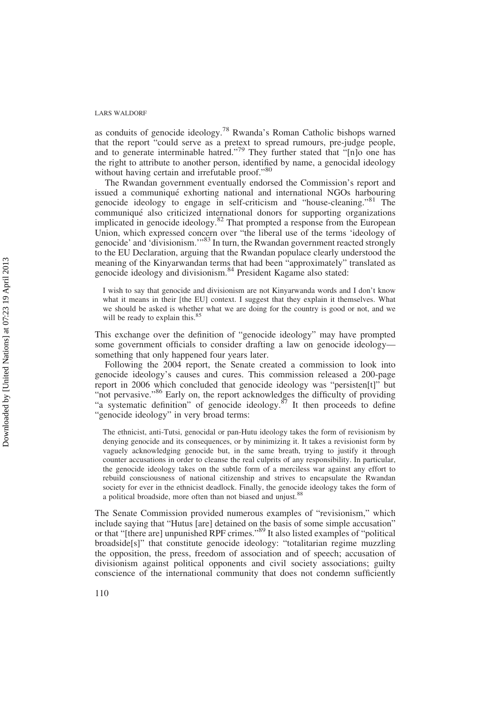as conduits of genocide ideology.<sup>78</sup> Rwanda's Roman Catholic bishops warned that the report "could serve as a pretext to spread rumours, pre-judge people, and to generate interminable hatred."<sup>79</sup> They further stated that "[n]o one has the right to attribute to another person, identified by name, a genocidal ideology without having certain and irrefutable proof."80

The Rwandan government eventually endorsed the Commission's report and issued a communiqué exhorting national and international NGOs harbouring genocide ideology to engage in self-criticism and "house-cleaning."<sup>81</sup> The communiqué also criticized international donors for supporting organizations implicated in genocide ideology.<sup>82</sup> That prompted a response from the European Union, which expressed concern over "the liberal use of the terms 'ideology of genocide' and 'divisionism.'"<sup>83</sup> In turn, the Rwandan government reacted strongly to the EU Declaration, arguing that the Rwandan populace clearly understood the meaning of the Kinyarwandan terms that had been "approximately" translated as genocide ideology and divisionism.<sup>84</sup> President Kagame also stated:

I wish to say that genocide and divisionism are not Kinyarwanda words and I don't know what it means in their [the EU] context. I suggest that they explain it themselves. What we should be asked is whether what we are doing for the country is good or not, and we will be ready to explain this.<sup>85</sup>

This exchange over the definition of "genocide ideology" may have prompted some government officials to consider drafting a law on genocide ideology something that only happened four years later.

Following the 2004 report, the Senate created a commission to look into genocide ideology's causes and cures. This commission released a 200-page report in 2006 which concluded that genocide ideology was "persisten[t]" but "not pervasive."<sup>86</sup> Early on, the report acknowledges the difficulty of providing "a systematic definition" of genocide ideology.<sup>87</sup> It then proceeds to define "genocide ideology" in very broad terms:

The ethnicist, anti-Tutsi, genocidal or pan-Hutu ideology takes the form of revisionism by denying genocide and its consequences, or by minimizing it. It takes a revisionist form by vaguely acknowledging genocide but, in the same breath, trying to justify it through counter accusations in order to cleanse the real culprits of any responsibility. In particular, the genocide ideology takes on the subtle form of a merciless war against any effort to rebuild consciousness of national citizenship and strives to encapsulate the Rwandan society for ever in the ethnicist deadlock. Finally, the genocide ideology takes the form of a political broadside, more often than not biased and unjust.<sup>88</sup>

The Senate Commission provided numerous examples of "revisionism," which include saying that "Hutus [are] detained on the basis of some simple accusation" or that "[there are] unpunished RPF crimes."<sup>89</sup> It also listed examples of "political broadside[s]" that constitute genocide ideology: "totalitarian regime muzzling the opposition, the press, freedom of association and of speech; accusation of divisionism against political opponents and civil society associations; guilty conscience of the international community that does not condemn sufficiently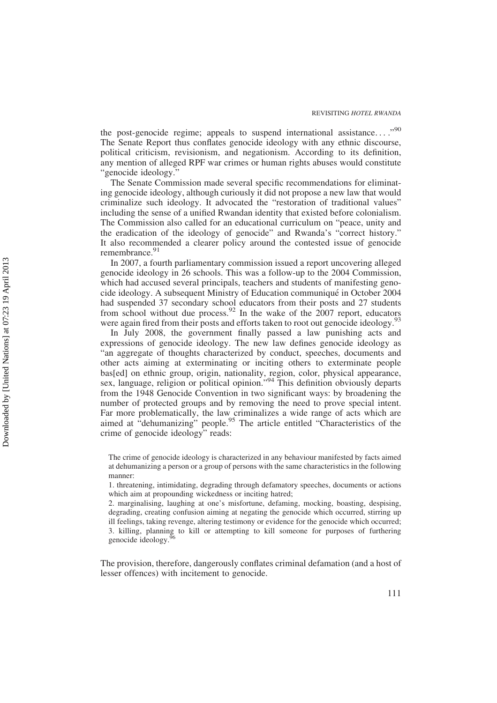the post-genocide regime; appeals to suspend international assistance...."<sup>90</sup> The Senate Report thus conflates genocide ideology with any ethnic discourse, political criticism, revisionism, and negationism. According to its definition, any mention of alleged RPF war crimes or human rights abuses would constitute "genocide ideology."

The Senate Commission made several specific recommendations for eliminating genocide ideology, although curiously it did not propose a new law that would criminalize such ideology. It advocated the "restoration of traditional values" including the sense of a unified Rwandan identity that existed before colonialism. The Commission also called for an educational curriculum on "peace, unity and the eradication of the ideology of genocide" and Rwanda's "correct history." It also recommended a clearer policy around the contested issue of genocide remembrance.<sup>91</sup>

In 2007, a fourth parliamentary commission issued a report uncovering alleged genocide ideology in 26 schools. This was a follow-up to the 2004 Commission, which had accused several principals, teachers and students of manifesting genocide ideology. A subsequent Ministry of Education communique´ in October 2004 had suspended 37 secondary school educators from their posts and 27 students from school without due process.<sup>92</sup> In the wake of the  $2007$  report, educators were again fired from their posts and efforts taken to root out genocide ideology.<sup>93</sup>

In July 2008, the government finally passed a law punishing acts and expressions of genocide ideology. The new law defines genocide ideology as "an aggregate of thoughts characterized by conduct, speeches, documents and other acts aiming at exterminating or inciting others to exterminate people bas[ed] on ethnic group, origin, nationality, region, color, physical appearance, sex, language, religion or political opinion."<sup>94</sup> This definition obviously departs from the 1948 Genocide Convention in two significant ways: by broadening the number of protected groups and by removing the need to prove special intent. Far more problematically, the law criminalizes a wide range of acts which are aimed at "dehumanizing" people.<sup>95</sup> The article entitled "Characteristics of the crime of genocide ideology" reads:

The crime of genocide ideology is characterized in any behaviour manifested by facts aimed at dehumanizing a person or a group of persons with the same characteristics in the following manner:

1. threatening, intimidating, degrading through defamatory speeches, documents or actions which aim at propounding wickedness or inciting hatred;

2. marginalising, laughing at one's misfortune, defaming, mocking, boasting, despising, degrading, creating confusion aiming at negating the genocide which occurred, stirring up ill feelings, taking revenge, altering testimony or evidence for the genocide which occurred; 3. killing, planning to kill or attempting to kill someone for purposes of furthering genocide ideology.

The provision, therefore, dangerously conflates criminal defamation (and a host of lesser offences) with incitement to genocide.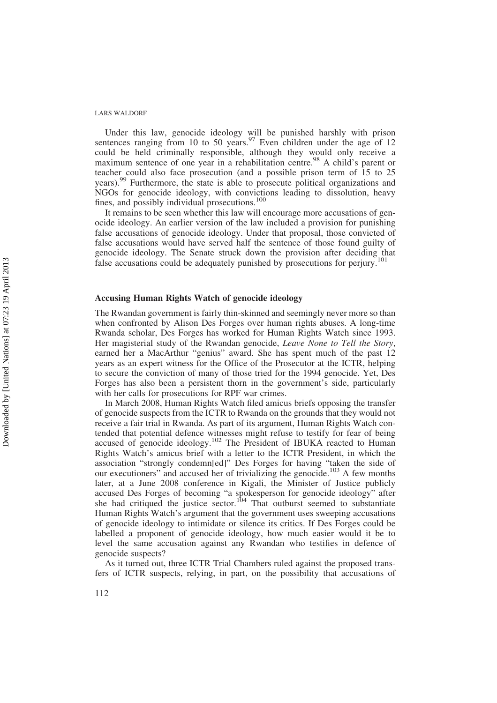Under this law, genocide ideology will be punished harshly with prison sentences ranging from 10 to 50 years.<sup>97</sup> Even children under the age of 12 could be held criminally responsible, although they would only receive a maximum sentence of one year in a rehabilitation centre.<sup>98</sup> A child's parent or teacher could also face prosecution (and a possible prison term of 15 to 25 years).<sup>99</sup> Furthermore, the state is able to prosecute political organizations and NGOs for genocide ideology, with convictions leading to dissolution, heavy fines, and possibly individual prosecutions.<sup>100</sup>

It remains to be seen whether this law will encourage more accusations of genocide ideology. An earlier version of the law included a provision for punishing false accusations of genocide ideology. Under that proposal, those convicted of false accusations would have served half the sentence of those found guilty of genocide ideology. The Senate struck down the provision after deciding that false accusations could be adequately punished by prosecutions for perjury.<sup>1</sup>

## Accusing Human Rights Watch of genocide ideology

The Rwandan government is fairly thin-skinned and seemingly never more so than when confronted by Alison Des Forges over human rights abuses. A long-time Rwanda scholar, Des Forges has worked for Human Rights Watch since 1993. Her magisterial study of the Rwandan genocide, Leave None to Tell the Story, earned her a MacArthur "genius" award. She has spent much of the past 12 years as an expert witness for the Office of the Prosecutor at the ICTR, helping to secure the conviction of many of those tried for the 1994 genocide. Yet, Des Forges has also been a persistent thorn in the government's side, particularly with her calls for prosecutions for RPF war crimes.

In March 2008, Human Rights Watch filed amicus briefs opposing the transfer of genocide suspects from the ICTR to Rwanda on the grounds that they would not receive a fair trial in Rwanda. As part of its argument, Human Rights Watch contended that potential defence witnesses might refuse to testify for fear of being accused of genocide ideology.<sup>102</sup> The President of IBUKA reacted to Human Rights Watch's amicus brief with a letter to the ICTR President, in which the association "strongly condemn[ed]" Des Forges for having "taken the side of our executioners" and accused her of trivializing the genocide.<sup>103</sup> A few months later, at a June 2008 conference in Kigali, the Minister of Justice publicly accused Des Forges of becoming "a spokesperson for genocide ideology" after she had critiqued the justice sector.<sup>104</sup> That outburst seemed to substantiate Human Rights Watch's argument that the government uses sweeping accusations of genocide ideology to intimidate or silence its critics. If Des Forges could be labelled a proponent of genocide ideology, how much easier would it be to level the same accusation against any Rwandan who testifies in defence of genocide suspects?

As it turned out, three ICTR Trial Chambers ruled against the proposed transfers of ICTR suspects, relying, in part, on the possibility that accusations of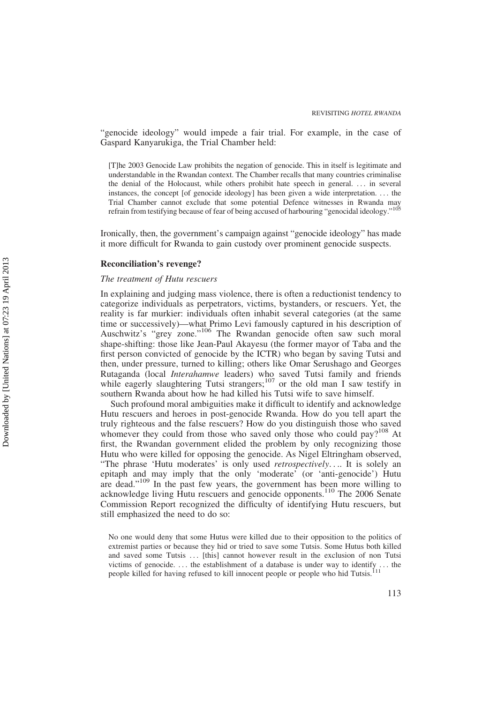"genocide ideology" would impede a fair trial. For example, in the case of Gaspard Kanyarukiga, the Trial Chamber held:

[T]he 2003 Genocide Law prohibits the negation of genocide. This in itself is legitimate and understandable in the Rwandan context. The Chamber recalls that many countries criminalise the denial of the Holocaust, while others prohibit hate speech in general. . . . in several instances, the concept [of genocide ideology] has been given a wide interpretation. . . . the Trial Chamber cannot exclude that some potential Defence witnesses in Rwanda may refrain from testifying because of fear of being accused of harbouring "genocidal ideology."<sup>105</sup>

Ironically, then, the government's campaign against "genocide ideology" has made it more difficult for Rwanda to gain custody over prominent genocide suspects.

#### Reconciliation's revenge?

#### The treatment of Hutu rescuers

In explaining and judging mass violence, there is often a reductionist tendency to categorize individuals as perpetrators, victims, bystanders, or rescuers. Yet, the reality is far murkier: individuals often inhabit several categories (at the same time or successively)—what Primo Levi famously captured in his description of Auschwitz's "grey zone."<sup>106</sup> The Rwandan genocide often saw such moral shape-shifting: those like Jean-Paul Akayesu (the former mayor of Taba and the first person convicted of genocide by the ICTR) who began by saving Tutsi and then, under pressure, turned to killing; others like Omar Serushago and Georges Rutaganda (local Interahamwe leaders) who saved Tutsi family and friends while eagerly slaughtering Tutsi strangers;<sup>107</sup> or the old man I saw testify in southern Rwanda about how he had killed his Tutsi wife to save himself.

Such profound moral ambiguities make it difficult to identify and acknowledge Hutu rescuers and heroes in post-genocide Rwanda. How do you tell apart the truly righteous and the false rescuers? How do you distinguish those who saved whomever they could from those who saved only those who could pay?<sup>108</sup> At first, the Rwandan government elided the problem by only recognizing those Hutu who were killed for opposing the genocide. As Nigel Eltringham observed, "The phrase 'Hutu moderates' is only used *retrospectively...*. It is solely an epitaph and may imply that the only 'moderate' (or 'anti-genocide') Hutu are dead."<sup>109</sup> In the past few years, the government has been more willing to acknowledge living Hutu rescuers and genocide opponents.<sup>110</sup> The 2006 Senate Commission Report recognized the difficulty of identifying Hutu rescuers, but still emphasized the need to do so:

No one would deny that some Hutus were killed due to their opposition to the politics of extremist parties or because they hid or tried to save some Tutsis. Some Hutus both killed and saved some Tutsis . . . [this] cannot however result in the exclusion of non Tutsi victims of genocide. ... the establishment of a database is under way to identify ... the people killed for having refused to kill innocent people or people who hid Tutsis.<sup>111</sup>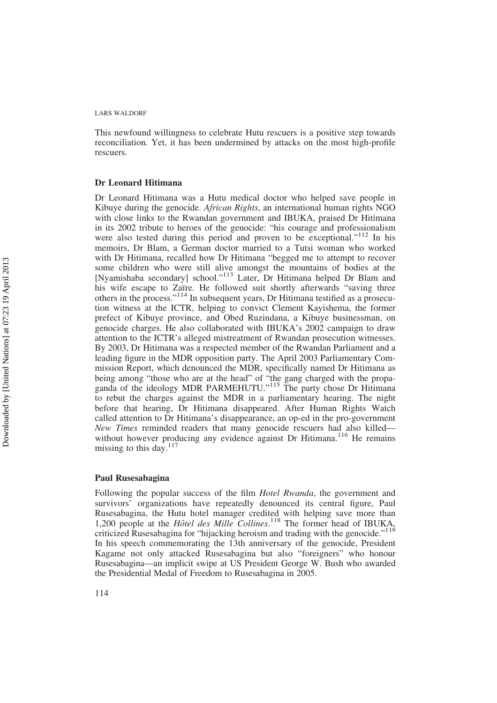This newfound willingness to celebrate Hutu rescuers is a positive step towards reconciliation. Yet, it has been undermined by attacks on the most high-profile rescuers.

#### Dr Leonard Hitimana

Dr Leonard Hitimana was a Hutu medical doctor who helped save people in Kibuye during the genocide. *African Rights*, an international human rights NGO with close links to the Rwandan government and IBUKA, praised Dr Hitimana in its 2002 tribute to heroes of the genocide: "his courage and professionalism were also tested during this period and proven to be exceptional."<sup>112</sup> In his memoirs, Dr Blam, a German doctor married to a Tutsi woman who worked with Dr Hitimana, recalled how Dr Hitimana "begged me to attempt to recover some children who were still alive amongst the mountains of bodies at the [Nyamishaba secondary] school."<sup>113</sup> Later, Dr Hitimana helped Dr Blam and his wife escape to Zaïre. He followed suit shortly afterwards "saving three others in the process."<sup>114</sup> In subsequent years, Dr Hitimana testified as a prosecution witness at the ICTR, helping to convict Clement Kayishema, the former prefect of Kibuye province, and Obed Ruzindana, a Kibuye businessman, on genocide charges. He also collaborated with IBUKA's 2002 campaign to draw attention to the ICTR's alleged mistreatment of Rwandan prosecution witnesses. By 2003, Dr Hitimana was a respected member of the Rwandan Parliament and a leading figure in the MDR opposition party. The April 2003 Parliamentary Commission Report, which denounced the MDR, specifically named Dr Hitimana as being among "those who are at the head" of "the gang charged with the propaganda of the ideology MDR PARMEHUTU."<sup>115</sup> The party chose Dr Hitimana to rebut the charges against the MDR in a parliamentary hearing. The night before that hearing, Dr Hitimana disappeared. After Human Rights Watch called attention to Dr Hitimana's disappearance, an op-ed in the pro-government New Times reminded readers that many genocide rescuers had also killed without however producing any evidence against Dr Hitimana.<sup>116</sup> He remains missing to this day. $117$ 

#### Paul Rusesabagina

Following the popular success of the film *Hotel Rwanda*, the government and survivors' organizations have repeatedly denounced its central figure, Paul Rusesabagina, the Hutu hotel manager credited with helping save more than 1,200 people at the Hôtel des Mille Collines.<sup>118</sup> The former head of IBUKA, criticized Rusesabagina for "hijacking heroism and trading with the genocide."<sup>119</sup> In his speech commemorating the 13th anniversary of the genocide, President Kagame not only attacked Rusesabagina but also "foreigners" who honour Rusesabagina—an implicit swipe at US President George W. Bush who awarded the Presidential Medal of Freedom to Rusesabagina in 2005.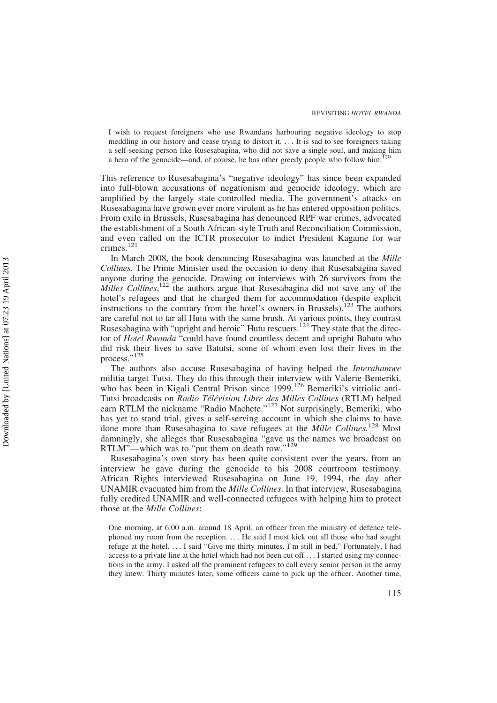I wish to request foreigners who use Rwandans harbouring negative ideology to stop meddling in our history and cease trying to distort it. . . . It is sad to see foreigners taking a self-seeking person like Rusesabagina, who did not save a single soul, and making him a hero of the genocide—and, of course, he has other greedy people who follow him.<sup>1</sup>

This reference to Rusesabagina's "negative ideology" has since been expanded into full-blown accusations of negationism and genocide ideology, which are amplified by the largely state-controlled media. The government's attacks on Rusesabagina have grown ever more virulent as he has entered opposition politics. From exile in Brussels, Rusesabagina has denounced RPF war crimes, advocated the establishment of a South African-style Truth and Reconciliation Commission, and even called on the ICTR prosecutor to indict President Kagame for war crimes.<sup>121</sup>

In March 2008, the book denouncing Rusesabagina was launched at the Mille Collines. The Prime Minister used the occasion to deny that Rusesabagina saved anyone during the genocide. Drawing on interviews with 26 survivors from the Milles Collines,  $122$  the authors argue that Rusesabagina did not save any of the hotel's refugees and that he charged them for accommodation (despite explicit instructions to the contrary from the hotel's owners in Brussels).<sup>123</sup> The authors are careful not to tar all Hutu with the same brush. At various points, they contrast Rusesabagina with "upright and heroic" Hutu rescuers.<sup>124</sup> They state that the director of Hotel Rwanda "could have found countless decent and upright Bahutu who did risk their lives to save Batutsi, some of whom even lost their lives in the process."<sup>125</sup>

The authors also accuse Rusesabagina of having helped the *Interahamwe* militia target Tutsi. They do this through their interview with Valerie Bemeriki, who has been in Kigali Central Prison since 1999.<sup>126</sup> Bemeriki's vitriolic anti-Tutsi broadcasts on Radio Télévision Libre des Milles Collines (RTLM) helped earn RTLM the nickname "Radio Machete."<sup>127</sup> Not surprisingly, Bemeriki, who has yet to stand trial, gives a self-serving account in which she claims to have done more than Rusesabagina to save refugees at the Mille Collines.<sup>128</sup> Most damningly, she alleges that Rusesabagina "gave us the names we broadcast on RTLM"—which was to "put them on death row."<sup>129</sup>

Rusesabagina's own story has been quite consistent over the years, from an interview he gave during the genocide to his 2008 courtroom testimony. African Rights interviewed Rusesabagina on June 19, 1994, the day after UNAMIR evacuated him from the Mille Collines. In that interview, Rusesabagina fully credited UNAMIR and well-connected refugees with helping him to protect those at the Mille Collines:

One morning, at 6:00 a.m. around 18 April, an officer from the ministry of defence telephoned my room from the reception. . . . He said I must kick out all those who had sought refuge at the hotel. . . . I said "Give me thirty minutes. I'm still in bed." Fortunately, I had access to a private line at the hotel which had not been cut off . . . I started using my connections in the army. I asked all the prominent refugees to call every senior person in the army they knew. Thirty minutes later, some officers came to pick up the officer. Another time,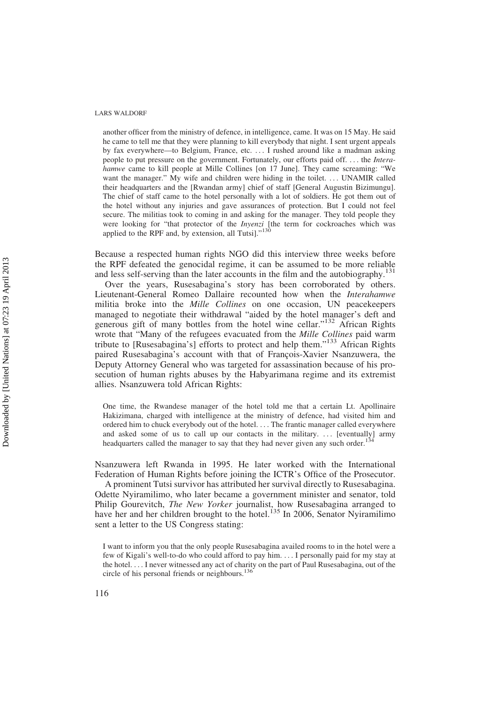another officer from the ministry of defence, in intelligence, came. It was on 15 May. He said he came to tell me that they were planning to kill everybody that night. I sent urgent appeals by fax everywhere—to Belgium, France, etc. . . . I rushed around like a madman asking people to put pressure on the government. Fortunately, our efforts paid off. . . . the Interahamwe came to kill people at Mille Collines [on 17 June]. They came screaming: "We want the manager." My wife and children were hiding in the toilet. ... UNAMIR called their headquarters and the [Rwandan army] chief of staff [General Augustin Bizimungu]. The chief of staff came to the hotel personally with a lot of soldiers. He got them out of the hotel without any injuries and gave assurances of protection. But I could not feel secure. The militias took to coming in and asking for the manager. They told people they were looking for "that protector of the *Inyenzi* [the term for cockroaches which was applied to the RPF and, by extension, all Tutsi]."<sup>130</sup>

Because a respected human rights NGO did this interview three weeks before the RPF defeated the genocidal regime, it can be assumed to be more reliable and less self-serving than the later accounts in the film and the autobiography.<sup>131</sup>

Over the years, Rusesabagina's story has been corroborated by others. Lieutenant-General Romeo Dallaire recounted how when the Interahamwe militia broke into the *Mille Collines* on one occasion, UN peacekeepers managed to negotiate their withdrawal "aided by the hotel manager's deft and generous gift of many bottles from the hotel wine cellar."<sup>132</sup> African Rights wrote that "Many of the refugees evacuated from the Mille Collines paid warm tribute to [Rusesabagina's] efforts to protect and help them."<sup>133</sup> African Rights paired Rusesabagina's account with that of François-Xavier Nsanzuwera, the Deputy Attorney General who was targeted for assassination because of his prosecution of human rights abuses by the Habyarimana regime and its extremist allies. Nsanzuwera told African Rights:

One time, the Rwandese manager of the hotel told me that a certain Lt. Apollinaire Hakizimana, charged with intelligence at the ministry of defence, had visited him and ordered him to chuck everybody out of the hotel. . . . The frantic manager called everywhere and asked some of us to call up our contacts in the military. ... [eventually] army headquarters called the manager to say that they had never given any such order.<sup>134</sup>

Nsanzuwera left Rwanda in 1995. He later worked with the International Federation of Human Rights before joining the ICTR's Office of the Prosecutor.

A prominent Tutsi survivor has attributed her survival directly to Rusesabagina. Odette Nyiramilimo, who later became a government minister and senator, told Philip Gourevitch, The New Yorker journalist, how Rusesabagina arranged to have her and her children brought to the hotel.<sup>135</sup> In 2006, Senator Nyiramilimo sent a letter to the US Congress stating:

I want to inform you that the only people Rusesabagina availed rooms to in the hotel were a few of Kigali's well-to-do who could afford to pay him. . . . I personally paid for my stay at the hotel. . . . I never witnessed any act of charity on the part of Paul Rusesabagina, out of the circle of his personal friends or neighbours.<sup>136</sup>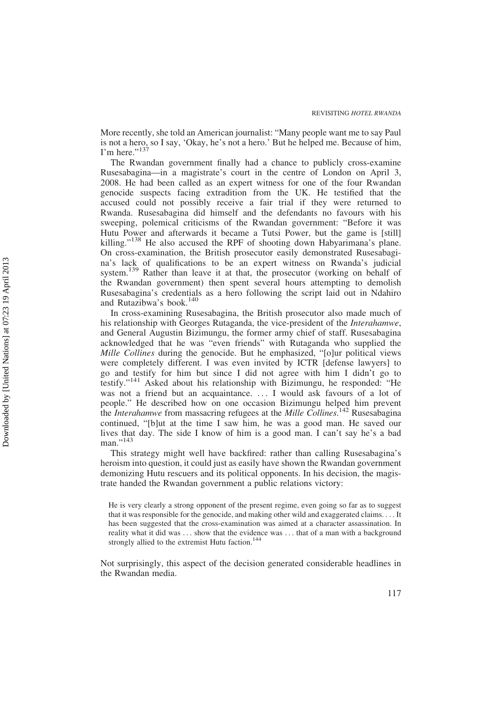More recently, she told an American journalist: "Many people want me to say Paul is not a hero, so I say, 'Okay, he's not a hero.' But he helped me. Because of him, I'm here."<sup>13</sup>

The Rwandan government finally had a chance to publicly cross-examine Rusesabagina—in a magistrate's court in the centre of London on April 3, 2008. He had been called as an expert witness for one of the four Rwandan genocide suspects facing extradition from the UK. He testified that the accused could not possibly receive a fair trial if they were returned to Rwanda. Rusesabagina did himself and the defendants no favours with his sweeping, polemical criticisms of the Rwandan government: "Before it was Hutu Power and afterwards it became a Tutsi Power, but the game is [still] killing."<sup>138</sup> He also accused the RPF of shooting down Habyarimana's plane. On cross-examination, the British prosecutor easily demonstrated Rusesabagina's lack of qualifications to be an expert witness on Rwanda's judicial system.<sup>139</sup> Rather than leave it at that, the prosecutor (working on behalf of the Rwandan government) then spent several hours attempting to demolish Rusesabagina's credentials as a hero following the script laid out in Ndahiro and Rutazibwa's book.<sup>140</sup>

In cross-examining Rusesabagina, the British prosecutor also made much of his relationship with Georges Rutaganda, the vice-president of the Interahamwe, and General Augustin Bizimungu, the former army chief of staff. Rusesabagina acknowledged that he was "even friends" with Rutaganda who supplied the *Mille Collines* during the genocide. But he emphasized, "[o]ur political views were completely different. I was even invited by ICTR [defense lawyers] to go and testify for him but since I did not agree with him I didn't go to testify."<sup>141</sup> Asked about his relationship with Bizimungu, he responded: "He was not a friend but an acquaintance. ... I would ask favours of a lot of people." He described how on one occasion Bizimungu helped him prevent the *Interahamwe* from massacring refugees at the *Mille Collines*.<sup>142</sup> Rusesabagina continued, "[b]ut at the time I saw him, he was a good man. He saved our lives that day. The side I know of him is a good man. I can't say he's a bad man."<sup>143</sup>

This strategy might well have backfired: rather than calling Rusesabagina's heroism into question, it could just as easily have shown the Rwandan government demonizing Hutu rescuers and its political opponents. In his decision, the magistrate handed the Rwandan government a public relations victory:

He is very clearly a strong opponent of the present regime, even going so far as to suggest that it was responsible for the genocide, and making other wild and exaggerated claims. . . . It has been suggested that the cross-examination was aimed at a character assassination. In reality what it did was ... show that the evidence was ... that of a man with a background strongly allied to the extremist Hutu faction.<sup>144</sup>

Not surprisingly, this aspect of the decision generated considerable headlines in the Rwandan media.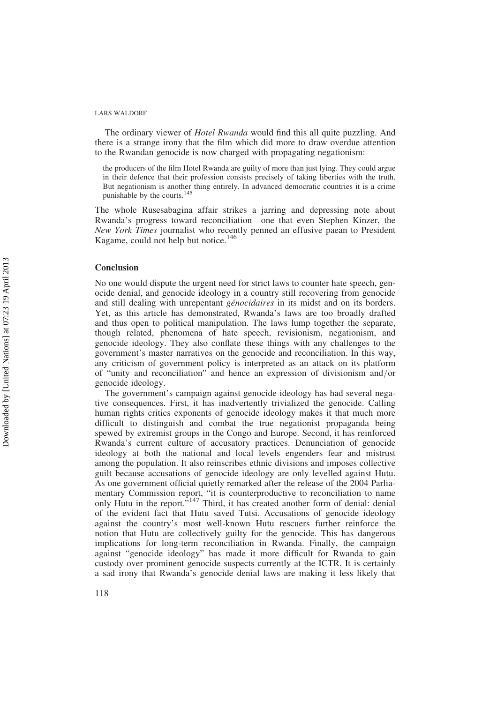The ordinary viewer of *Hotel Rwanda* would find this all quite puzzling. And there is a strange irony that the film which did more to draw overdue attention to the Rwandan genocide is now charged with propagating negationism:

the producers of the film Hotel Rwanda are guilty of more than just lying. They could argue in their defence that their profession consists precisely of taking liberties with the truth. But negationism is another thing entirely. In advanced democratic countries it is a crime punishable by the courts.<sup>145</sup>

The whole Rusesabagina affair strikes a jarring and depressing note about Rwanda's progress toward reconciliation—one that even Stephen Kinzer, the New York Times journalist who recently penned an effusive paean to President Kagame, could not help but notice.<sup>146</sup>

#### **Conclusion**

No one would dispute the urgent need for strict laws to counter hate speech, genocide denial, and genocide ideology in a country still recovering from genocide and still dealing with unrepentant *génocidaires* in its midst and on its borders. Yet, as this article has demonstrated, Rwanda's laws are too broadly drafted and thus open to political manipulation. The laws lump together the separate, though related, phenomena of hate speech, revisionism, negationism, and genocide ideology. They also conflate these things with any challenges to the government's master narratives on the genocide and reconciliation. In this way, any criticism of government policy is interpreted as an attack on its platform of "unity and reconciliation" and hence an expression of divisionism and/or genocide ideology.

The government's campaign against genocide ideology has had several negative consequences. First, it has inadvertently trivialized the genocide. Calling human rights critics exponents of genocide ideology makes it that much more difficult to distinguish and combat the true negationist propaganda being spewed by extremist groups in the Congo and Europe. Second, it has reinforced Rwanda's current culture of accusatory practices. Denunciation of genocide ideology at both the national and local levels engenders fear and mistrust among the population. It also reinscribes ethnic divisions and imposes collective guilt because accusations of genocide ideology are only levelled against Hutu. As one government official quietly remarked after the release of the 2004 Parliamentary Commission report, "it is counterproductive to reconciliation to name only Hutu in the report."<sup>147</sup> Third, it has created another form of denial: denial of the evident fact that Hutu saved Tutsi. Accusations of genocide ideology against the country's most well-known Hutu rescuers further reinforce the notion that Hutu are collectively guilty for the genocide. This has dangerous implications for long-term reconciliation in Rwanda. Finally, the campaign against "genocide ideology" has made it more difficult for Rwanda to gain custody over prominent genocide suspects currently at the ICTR. It is certainly a sad irony that Rwanda's genocide denial laws are making it less likely that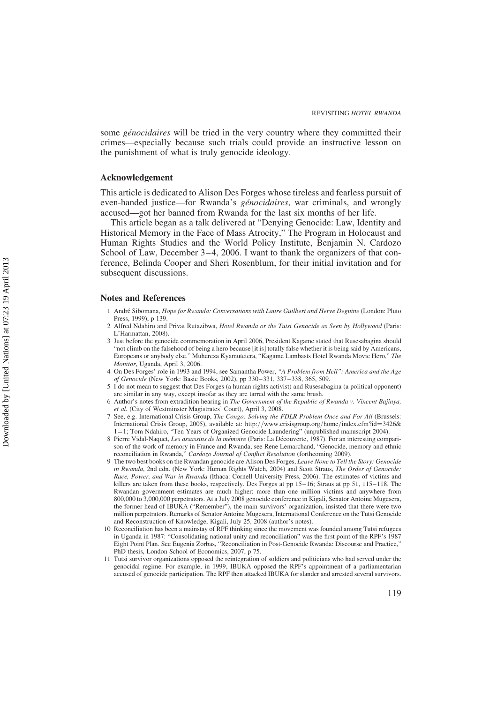some *génocidaires* will be tried in the very country where they committed their crimes—especially because such trials could provide an instructive lesson on the punishment of what is truly genocide ideology.

### Acknowledgement

This article is dedicated to Alison Des Forges whose tireless and fearless pursuit of even-handed justice—for Rwanda's *génocidaires*, war criminals, and wrongly accused—got her banned from Rwanda for the last six months of her life.

This article began as a talk delivered at "Denying Genocide: Law, Identity and Historical Memory in the Face of Mass Atrocity," The Program in Holocaust and Human Rights Studies and the World Policy Institute, Benjamin N. Cardozo School of Law, December 3–4, 2006. I want to thank the organizers of that conference, Belinda Cooper and Sheri Rosenblum, for their initial invitation and for subsequent discussions.

#### Notes and References

- 1 André Sibomana, Hope for Rwanda: Conversations with Laure Guilbert and Herve Deguine (London: Pluto Press, 1999), p 139.
- 2 Alfred Ndahiro and Privat Rutazibwa, Hotel Rwanda or the Tutsi Genocide as Seen by Hollywood (Paris: L'Harmattan, 2008).
- 3 Just before the genocide commemoration in April 2006, President Kagame stated that Rusesabagina should "not climb on the falsehood of being a hero because [it is] totally false whether it is being said by Americans, Europeans or anybody else." Muhereza Kyamutetera, "Kagame Lambasts Hotel Rwanda Movie Hero," The Monitor, Uganda, April 3, 2006.
- 4 On Des Forges' role in 1993 and 1994, see Samantha Power, "A Problem from Hell": America and the Age of Genocide (New York: Basic Books, 2002), pp 330 –331, 337 –338, 365, 509.
- 5 I do not mean to suggest that Des Forges (a human rights activist) and Rusesabagina (a political opponent) are similar in any way, except insofar as they are tarred with the same brush.
- 6 Author's notes from extradition hearing in The Government of the Republic of Rwanda v. Vincent Bajinya, et al. (City of Westminster Magistrates' Court), April 3, 2008.
- 7 See, e.g. International Crisis Group, The Congo: Solving the FDLR Problem Once and For All (Brussels: International Crisis Group, 2005), available at: http://www.crisisgroup.org/home/index.cfm?id=3426& 1=1; Tom Ndahiro, "Ten Years of Organized Genocide Laundering" (unpublished manuscript 2004).
- 8 Pierre Vidal-Naquet, Les assassins de la mémoire (Paris: La Découverte, 1987). For an interesting comparison of the work of memory in France and Rwanda, see Rene Lemarchand, "Genocide, memory and ethnic reconciliation in Rwanda," Cardozo Journal of Conflict Resolution (forthcoming 2009).
- 9 The two best books on the Rwandan genocide are Alison Des Forges, Leave None to Tell the Story: Genocide in Rwanda, 2nd edn. (New York: Human Rights Watch, 2004) and Scott Straus, The Order of Genocide: Race, Power, and War in Rwanda (Ithaca: Cornell University Press, 2006). The estimates of victims and killers are taken from these books, respectively. Des Forges at pp 15–16; Straus at pp 51, 115–118. The Rwandan government estimates are much higher: more than one million victims and anywhere from 800,000 to 3,000,000 perpetrators. At a July 2008 genocide conference in Kigali, Senator Antoine Mugesera, the former head of IBUKA ("Remember"), the main survivors' organization, insisted that there were two million perpetrators. Remarks of Senator Antoine Mugesera, International Conference on the Tutsi Genocide and Reconstruction of Knowledge, Kigali, July 25, 2008 (author's notes).
- 10 Reconciliation has been a mainstay of RPF thinking since the movement was founded among Tutsi refugees in Uganda in 1987: "Consolidating national unity and reconciliation" was the first point of the RPF's 1987 Eight Point Plan. See Eugenia Zorbas, "Reconciliation in Post-Genocide Rwanda: Discourse and Practice," PhD thesis, London School of Economics, 2007, p 75.
- 11 Tutsi survivor organizations opposed the reintegration of soldiers and politicians who had served under the genocidal regime. For example, in 1999, IBUKA opposed the RPF's appointment of a parliamentarian accused of genocide participation. The RPF then attacked IBUKA for slander and arrested several survivors.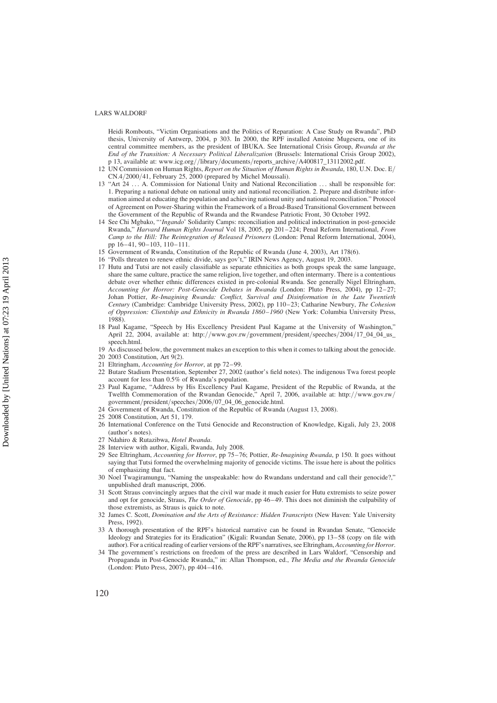Heidi Rombouts, "Victim Organisations and the Politics of Reparation: A Case Study on Rwanda", PhD thesis, University of Antwerp, 2004, p 303. In 2000, the RPF installed Antoine Mugesera, one of its central committee members, as the president of IBUKA. See International Crisis Group, Rwanda at the End of the Transition: A Necessary Political Liberalization (Brussels: International Crisis Group 2002), p 13, available at: www.icg.org//library/documents/reports\_archive/A400817\_13112002.pdf.

- 12 UN Commission on Human Rights, Report on the Situation of Human Rights in Rwanda, 180, U.N. Doc.  $E/$ CN.4/2000/41, February 25, 2000 (prepared by Michel Moussali).
- 13 "Art 24 . . . A. Commission for National Unity and National Reconciliation . . . shall be responsible for: 1. Preparing a national debate on national unity and national reconciliation. 2. Prepare and distribute information aimed at educating the population and achieving national unity and national reconciliation." Protocol of Agreement on Power-Sharing within the Framework of a Broad-Based Transitional Government between the Government of the Republic of Rwanda and the Rwandese Patriotic Front, 30 October 1992.
- 14 See Chi Mgbako, "'Ingando' Solidarity Camps: reconciliation and political indoctrination in post-genocide Rwanda," Harvard Human Rights Journal Vol 18, 2005, pp 201–224; Penal Reform International, From Camp to the Hill: The Reintegration of Released Prisoners (London: Penal Reform International, 2004), pp 16– 41, 90–103, 110–111.
- 15 Government of Rwanda, Constitution of the Republic of Rwanda (June 4, 2003), Art 178(6).
- 16 "Polls threaten to renew ethnic divide, says gov't," IRIN News Agency, August 19, 2003.
- 17 Hutu and Tutsi are not easily classifiable as separate ethnicities as both groups speak the same language, share the same culture, practice the same religion, live together, and often intermarry. There is a contentious debate over whether ethnic differences existed in pre-colonial Rwanda. See generally Nigel Eltringham, Accounting for Horror: Post-Genocide Debates in Rwanda (London: Pluto Press, 2004), pp 12-27; Johan Pottier, Re-Imagining Rwanda: Conflict, Survival and Disinformation in the Late Twentieth Century (Cambridge: Cambridge University Press, 2002), pp 110–23; Catharine Newbury, The Cohesion of Oppression: Clientship and Ethnicity in Rwanda 1860–1960 (New York: Columbia University Press, 1988).
- 18 Paul Kagame, "Speech by His Excellency President Paul Kagame at the University of Washington," April 22, 2004, available at: http://www.gov.rw/government/president/speeches/2004/17\_04\_04\_us\_ speech.html.
- 19 As discussed below, the government makes an exception to this when it comes to talking about the genocide. 20 2003 Constitution, Art 9(2).
- 21 Eltringham, Accounting for Horror, at pp 72–99.
- 22 Butare Stadium Presentation, September 27, 2002 (author's field notes). The indigenous Twa forest people account for less than 0.5% of Rwanda's population.
- 23 Paul Kagame, "Address by His Excellency Paul Kagame, President of the Republic of Rwanda, at the Twelfth Commemoration of the Rwandan Genocide," April 7, 2006, available at: http://www.gov.rw/ government/president/speeches/2006/07\_04\_06\_genocide.html.
- 24 Government of Rwanda, Constitution of the Republic of Rwanda (August 13, 2008).
- 25 2008 Constitution, Art 51, 179.
- 26 International Conference on the Tutsi Genocide and Reconstruction of Knowledge, Kigali, July 23, 2008 (author's notes).
- 27 Ndahiro & Rutazibwa, Hotel Rwanda.
- 28 Interview with author, Kigali, Rwanda, July 2008.
- 29 See Eltringham, Accounting for Horror, pp 75–76; Pottier, Re-Imagining Rwanda, p 150. It goes without saying that Tutsi formed the overwhelming majority of genocide victims. The issue here is about the politics of emphasizing that fact.
- 30 Noel Twagiramungu, "Naming the unspeakable: how do Rwandans understand and call their genocide?," unpublished draft manuscript, 2006.
- 31 Scott Straus convincingly argues that the civil war made it much easier for Hutu extremists to seize power and opt for genocide, Straus, *The Order of Genocide*, pp 46–49. This does not diminish the culpability of those extremists, as Straus is quick to note.
- 32 James C. Scott, Domination and the Arts of Resistance: Hidden Transcripts (New Haven: Yale University Press, 1992).
- 33 A thorough presentation of the RPF's historical narrative can be found in Rwandan Senate, "Genocide Ideology and Strategies for its Eradication" (Kigali: Rwandan Senate, 2006), pp 13–58 (copy on file with author). For a critical reading of earlier versions of the RPF's narratives, see Eltringham, Accounting for Horror.
- 34 The government's restrictions on freedom of the press are described in Lars Waldorf, "Censorship and Propaganda in Post-Genocide Rwanda," in: Allan Thompson, ed., The Media and the Rwanda Genocide (London: Pluto Press, 2007), pp 404–416.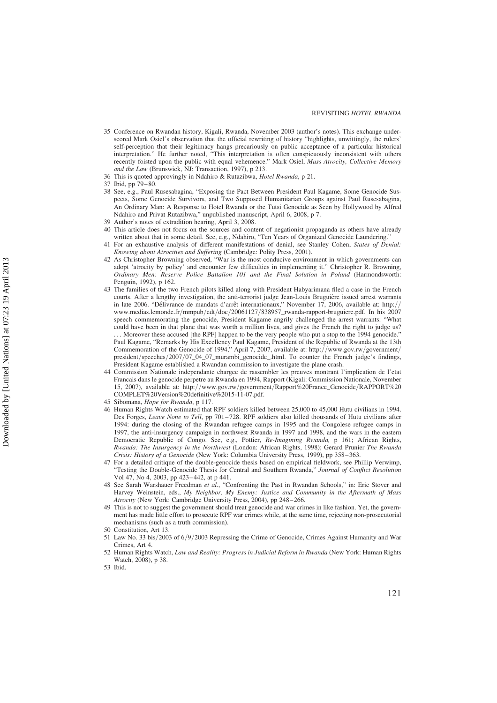- 35 Conference on Rwandan history, Kigali, Rwanda, November 2003 (author's notes). This exchange underscored Mark Osiel's observation that the official rewriting of history "highlights, unwittingly, the rulers' self-perception that their legitimacy hangs precariously on public acceptance of a particular historical interpretation." He further noted, "This interpretation is often conspicuously inconsistent with others recently foisted upon the public with equal vehemence." Mark Osiel, Mass Atrocity, Collective Memory and the Law (Brunswick, NJ: Transaction, 1997), p 213.
- 36 This is quoted approvingly in Ndahiro & Rutazibwa, Hotel Rwanda, p 21.
- 37 Ibid, pp 79– 80.
- 38 See, e.g., Paul Rusesabagina, "Exposing the Pact Between President Paul Kagame, Some Genocide Suspects, Some Genocide Survivors, and Two Supposed Humanitarian Groups against Paul Rusesabagina, An Ordinary Man: A Response to Hotel Rwanda or the Tutsi Genocide as Seen by Hollywood by Alfred Ndahiro and Privat Rutazibwa," unpublished manuscript, April 6, 2008, p 7.
- 39 Author's notes of extradition hearing, April 3, 2008.
- This article does not focus on the sources and content of negationist propaganda as others have already written about that in some detail. See, e.g., Ndahiro, "Ten Years of Organized Genocide Laundering."
- 41 For an exhaustive analysis of different manifestations of denial, see Stanley Cohen, States of Denial: Knowing about Atrocities and Suffering (Cambridge: Polity Press, 2001).
- 42 As Christopher Browning observed, "War is the most conducive environment in which governments can adopt 'atrocity by policy' and encounter few difficulties in implementing it." Christopher R. Browning, Ordinary Men: Reserve Police Battalion 101 and the Final Solution in Poland (Harmondsworth: Penguin, 1992), p 162.
- 43 The families of the two French pilots killed along with President Habyarimana filed a case in the French courts. After a lengthy investigation, the anti-terrorist judge Jean-Louis Bruguière issued arrest warrants in late 2006. "Délivrance de mandats d'arrêt internationaux," November 17, 2006, available at: http:/ www.medias.lemonde.fr/mmpub/edt/doc/20061127/838957\_rwanda-rapport-bruguiere.pdf. In his 2007 speech commemorating the genocide, President Kagame angrily challenged the arrest warrants: "What could have been in that plane that was worth a million lives, and gives the French the right to judge us? . . . Moreover these accused [the RPF] happen to be the very people who put a stop to the 1994 genocide." Paul Kagame, "Remarks by His Excellency Paul Kagame, President of the Republic of Rwanda at the 13th Commemoration of the Genocide of 1994," April 7, 2007, available at: http://www.gov.rw/government/ president/speeches/2007/07\_04\_07\_murambi\_genocide\_.html. To counter the French judge's findings, President Kagame established a Rwandan commission to investigate the plane crash.
- 44 Commission Nationale independante chargee de rassembler les preuves montrant l'implication de l'etat Francais dans le genocide perpetre au Rwanda en 1994, Rapport (Kigali: Commission Nationale, November 15, 2007), available at: http://www.gov.rw/government/Rapport%20France\_Genocide/RAPPORT%20 COMPLET%20Version%20definitive%2015-11-07.pdf.
- 45 Sibomana, Hope for Rwanda, p 117.
- 46 Human Rights Watch estimated that RPF soldiers killed between 25,000 to 45,000 Hutu civilians in 1994. Des Forges, Leave None to Tell, pp 701–728. RPF soldiers also killed thousands of Hutu civilians after 1994: during the closing of the Rwandan refugee camps in 1995 and the Congolese refugee camps in 1997, the anti-insurgency campaign in northwest Rwanda in 1997 and 1998, and the wars in the eastern Democratic Republic of Congo. See, e.g., Pottier, Re-Imagining Rwanda, p 161; African Rights, Rwanda: The Insurgency in the Northwest (London: African Rights, 1998); Gerard Prunier The Rwanda Crisis: History of a Genocide (New York: Columbia University Press, 1999), pp 358–363.
- 47 For a detailed critique of the double-genocide thesis based on empirical fieldwork, see Phillip Verwimp, "Testing the Double-Genocide Thesis for Central and Southern Rwanda," Journal of Conflict Resolution Vol 47, No 4, 2003, pp 423– 442, at p 441.
- 48 See Sarah Warshauer Freedman et al., "Confronting the Past in Rwandan Schools," in: Eric Stover and Harvey Weinstein, eds., My Neighbor, My Enemy: Justice and Community in the Aftermath of Mass Atrocity (New York: Cambridge University Press, 2004), pp 248–266.
- 49 This is not to suggest the government should treat genocide and war crimes in like fashion. Yet, the government has made little effort to prosecute RPF war crimes while, at the same time, rejecting non-prosecutorial mechanisms (such as a truth commission).
- 50 Constitution, Art 13.
- 51 Law No. 33 bis/2003 of 6/9/2003 Repressing the Crime of Genocide, Crimes Against Humanity and War Crimes, Art 4.
- 52 Human Rights Watch, Law and Reality: Progress in Judicial Reform in Rwanda (New York: Human Rights Watch, 2008), p 38.

<sup>53</sup> Ibid.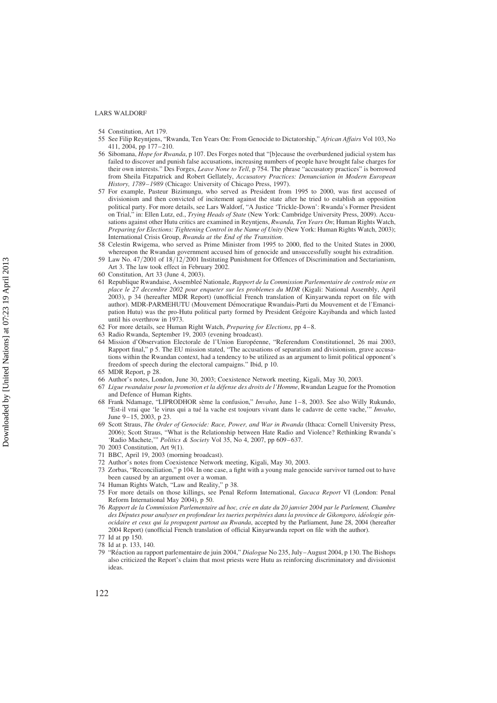- 54 Constitution, Art 179.
- 55 See Filip Reyntjens, "Rwanda, Ten Years On: From Genocide to Dictatorship," African Affairs Vol 103, No 411, 2004, pp 177– 210.
- 56 Sibomana, Hope for Rwanda, p 107. Des Forges noted that "[b]ecause the overburdened judicial system has failed to discover and punish false accusations, increasing numbers of people have brought false charges for their own interests." Des Forges, Leave None to Tell, p 754. The phrase "accusatory practices" is borrowed from Sheila Fitzpatrick and Robert Gellately, Accusatory Practices: Denunciation in Modern European History, 1789–1989 (Chicago: University of Chicago Press, 1997).
- 57 For example, Pasteur Bizimungu, who served as President from 1995 to 2000, was first accused of divisionism and then convicted of incitement against the state after he tried to establish an opposition political party. For more details, see Lars Waldorf, "A Justice 'Trickle-Down': Rwanda's Former President on Trial," in: Ellen Lutz, ed., Trying Heads of State (New York: Cambridge University Press, 2009). Accusations against other Hutu critics are examined in Reyntjens, Rwanda, Ten Years On; Human Rights Watch, Preparing for Elections: Tightening Control in the Name of Unity (New York: Human Rights Watch, 2003); International Crisis Group, Rwanda at the End of the Transition.
- 58 Celestin Rwigema, who served as Prime Minister from 1995 to 2000, fled to the United States in 2000, whereupon the Rwandan government accused him of genocide and unsuccessfully sought his extradition.
- 59 Law No. 47/2001 of 18/12/2001 Instituting Punishment for Offences of Discrimination and Sectarianism, Art 3. The law took effect in February 2002.
- 60 Constitution, Art 33 (June 4, 2003).
- 61 Republique Rwandaise, Assembleé Nationale, Rapport de la Commission Parlementaire de controle mise en place le 27 decembre 2002 pour enqueter sur les problemes du MDR (Kigali: National Assembly, April 2003), p 34 (hereafter MDR Report) (unofficial French translation of Kinyarwanda report on file with author). MDR-PARMEHUTU (Mouvement Démocratique Rwandais-Parti du Mouvement et de l'Emancipation Hutu) was the pro-Hutu political party formed by President Grégoire Kayibanda and which lasted until his overthrow in 1973.
- 62 For more details, see Human Right Watch, Preparing for Elections, pp 4-8.
- 63 Radio Rwanda, September 19, 2003 (evening broadcast).
- 64 Mission d'Observation Electorale de l'Union Européenne, "Referendum Constitutionnel, 26 mai 2003, Rapport final," p 5. The EU mission stated, "The accusations of separatism and divisionism, grave accusations within the Rwandan context, had a tendency to be utilized as an argument to limit political opponent's freedom of speech during the electoral campaigns." Ibid, p 10.
- 65 MDR Report, p 28.
- 66 Author's notes, London, June 30, 2003; Coexistence Network meeting, Kigali, May 30, 2003.
- 67 Ligue rwandaise pour la promotion et la défense des droits de l'Homme, Rwandan League for the Promotion and Defence of Human Rights.
- 68 Frank Ndamage, "LIPRODHOR sème la confusion," *Imvaho*, June 1–8, 2003. See also Willy Rukundo, "Est-il vrai que 'le virus qui a tué la vache est toujours vivant dans le cadavre de cette vache," Imvaho, June  $9-15$ , 2003, p 23.
- 69 Scott Straus, The Order of Genocide: Race, Power, and War in Rwanda (Ithaca: Cornell University Press, 2006); Scott Straus, "What is the Relationship between Hate Radio and Violence? Rethinking Rwanda's 'Radio Machete,'" Politics & Society Vol 35, No 4, 2007, pp 609–637.
- 70 2003 Constitution, Art 9(1).
- 71 BBC, April 19, 2003 (morning broadcast).
- 72 Author's notes from Coexistence Network meeting, Kigali, May 30, 2003.
- 73 Zorbas, "Reconciliation," p 104. In one case, a fight with a young male genocide survivor turned out to have been caused by an argument over a woman.
- 74 Human Rights Watch, "Law and Reality," p 38.
- 75 For more details on those killings, see Penal Reform International, Gacaca Report VI (London: Penal Reform International May 2004), p 50.
- 76 Rapport de la Commission Parlementaire ad hoc, crée en date du 20 janvier 2004 par le Parlement, Chambre des Députes pour analyser en profondeur les tueries perpétrées dans la province de Gikongoro, idéologie génocidaire et ceux qui la propagent partout au Rwanda, accepted by the Parliament, June 28, 2004 (hereafter 2004 Report) (unofficial French translation of official Kinyarwanda report on file with the author).
- 77 Id at pp 150.
- 78 Id at p. 133, 140.
- 79 "Réaction au rapport parlementaire de juin 2004," Dialogue No 235, July–August 2004, p 130. The Bishops also criticized the Report's claim that most priests were Hutu as reinforcing discriminatory and divisionist ideas.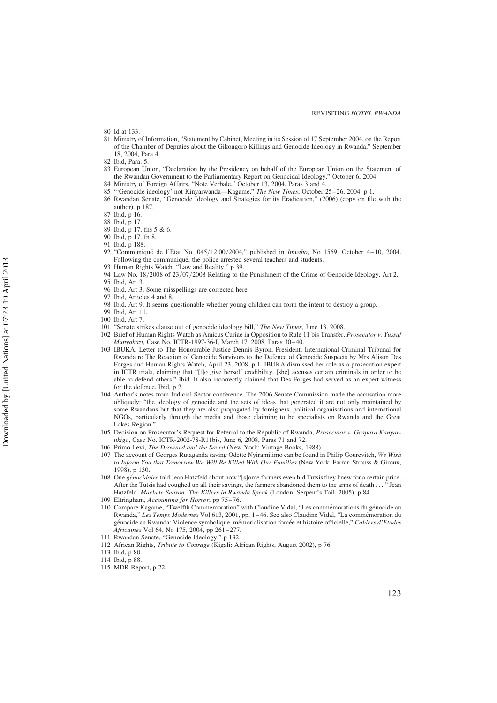- 80 Id at 133.
- 81 Ministry of Information, "Statement by Cabinet, Meeting in its Session of 17 September 2004, on the Report of the Chamber of Deputies about the Gikongoro Killings and Genocide Ideology in Rwanda," September 18, 2004, Para 4.
- 82 Ibid, Para. 5.
- 83 European Union, "Declaration by the Presidency on behalf of the European Union on the Statement of the Rwandan Government to the Parliamentary Report on Genocidal Ideology," October 6, 2004.
- 84 Ministry of Foreign Affairs, "Note Verbale," October 13, 2004, Paras 3 and 4.
- 85 "'Genocide ideology' not Kinyarwanda—Kagame," The New Times, October 25–26, 2004, p 1.
- 86 Rwandan Senate, "Genocide Ideology and Strategies for its Eradication," (2006) (copy on file with the author), p 187.
- 87 Ibid, p 16.
- 88 Ibid, p 17.
- 89 Ibid, p 17, fns 5 & 6.
- 90 Ibid, p 17, fn 8.
- 91 Ibid, p 188.
- 92 "Communiqué de l'Etat No. 045/12.00/2004," published in Imvaho, No 1569, October 4–10, 2004. Following the communiqué, the police arrested several teachers and students.
- 93 Human Rights Watch, "Law and Reality," p 39.
- 94 Law No. 18/2008 of 23/07/2008 Relating to the Punishment of the Crime of Genocide Ideology, Art 2.
- 95 Ibid, Art 3.
- 96 Ibid, Art 3. Some misspellings are corrected here.
- 97 Ibid, Articles 4 and 8.
- 98 Ibid, Art 9. It seems questionable whether young children can form the intent to destroy a group.
- 99 Ibid, Art 11.
- 100 Ibid, Art 7.
- 101 "Senate strikes clause out of genocide ideology bill," The New Times, June 13, 2008.
- 102 Brief of Human Rights Watch as Amicus Curiae in Opposition to Rule 11 bis Transfer, Prosecutor v. Yussuf Munyakazi, Case No. ICTR-1997-36-I, March 17, 2008, Paras 30-40.
- 103 IBUKA, Letter to The Honourable Justice Dennis Byron, President, International Criminal Tribunal for Rwanda re The Reaction of Genocide Survivors to the Defence of Genocide Suspects by Mrs Alison Des Forges and Human Rights Watch, April 23, 2008, p 1. IBUKA dismissed her role as a prosecution expert in ICTR trials, claiming that "[t]o give herself credibility, [she] accuses certain criminals in order to be able to defend others." Ibid. It also incorrectly claimed that Des Forges had served as an expert witness for the defence. Ibid, p 2.
- 104 Author's notes from Judicial Sector conference. The 2006 Senate Commission made the accusation more obliquely: "the ideology of genocide and the sets of ideas that generated it are not only maintained by some Rwandans but that they are also propagated by foreigners, political organisations and international NGOs, particularly through the media and those claiming to be specialists on Rwanda and the Great Lakes Region."
- 105 Decision on Prosecutor's Request for Referral to the Republic of Rwanda, Prosecutor v. Gaspard Kanyarukiga, Case No. ICTR-2002-78-R11bis, June 6, 2008, Paras 71 and 72.
- 106 Primo Levi, The Drowned and the Saved (New York: Vintage Books, 1988).
- 107 The account of Georges Rutaganda saving Odette Nyiramilimo can be found in Philip Gourevitch, We Wish to Inform You that Tomorrow We Will Be Killed With Our Families (New York: Farrar, Strauss & Giroux, 1998), p 130.
- 108 One génocidaire told Jean Hatzfeld about how "[s]ome farmers even hid Tutsis they knew for a certain price. After the Tutsis had coughed up all their savings, the farmers abandoned them to the arms of death . . .." Jean Hatzfeld, Machete Season: The Killers in Rwanda Speak (London: Serpent's Tail, 2005), p 84.
- 109 Eltringham, Accounting for Horror, pp 75-76.
- 110 Compare Kagame, "Twelfth Commemoration" with Claudine Vidal, "Les commémorations du génocide au Rwanda," Les Temps Modernes Vol 613, 2001, pp. 1-46. See also Claudine Vidal, "La commémoration du génocide au Rwanda: Violence symbolique, mémorialisation forcée et histoire officielle," Cahiers d'Etudes Africaines Vol 64, No 175, 2004, pp 261-277.
- 111 Rwandan Senate, "Genocide Ideology," p 132.
- 112 African Rights, Tribute to Courage (Kigali: African Rights, August 2002), p 76.
- 113 Ibid, p 80.
- 114 Ibid, p 88.
- 115 MDR Report, p 22.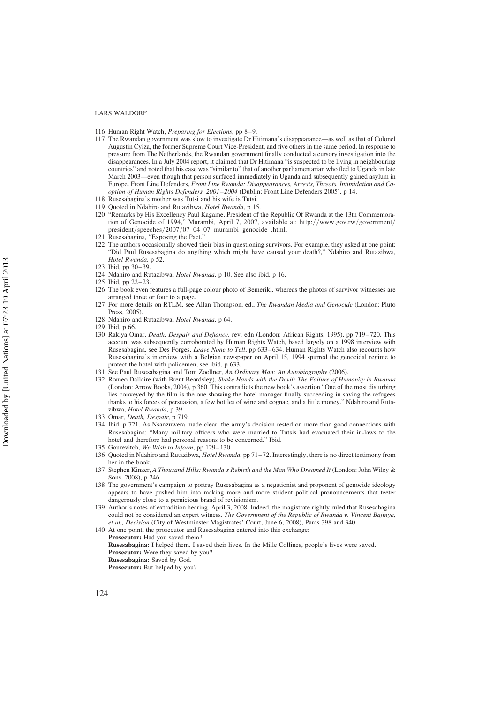- 116 Human Right Watch, Preparing for Elections, pp 8-9.
- 117 The Rwandan government was slow to investigate Dr Hitimana's disappearance—as well as that of Colonel Augustin Cyiza, the former Supreme Court Vice-President, and five others in the same period. In response to pressure from The Netherlands, the Rwandan government finally conducted a cursory investigation into the disappearances. In a July 2004 report, it claimed that Dr Hitimana "is suspected to be living in neighbouring countries" and noted that his case was "similar to" that of another parliamentarian who fled to Uganda in late March 2003—even though that person surfaced immediately in Uganda and subsequently gained asylum in Europe. Front Line Defenders, Front Line Rwanda: Disappearances, Arrests, Threats, Intimidation and Cooption of Human Rights Defenders, 2001–2004 (Dublin: Front Line Defenders 2005), p 14.
- 118 Rusesabagina's mother was Tutsi and his wife is Tutsi.
- 119 Quoted in Ndahiro and Rutazibwa, Hotel Rwanda, p 15.
- 120 "Remarks by His Excellency Paul Kagame, President of the Republic Of Rwanda at the 13th Commemoration of Genocide of 1994," Murambi, April 7, 2007, available at: http://www.gov.rw/government/ president/speeches/2007/07\_04\_07\_murambi\_genocide\_.html.
- 121 Rusesabagina, "Exposing the Pact."
- 122 The authors occasionally showed their bias in questioning survivors. For example, they asked at one point: "Did Paul Rusesabagina do anything which might have caused your death?," Ndahiro and Rutazibwa, Hotel Rwanda, p 52.
- 123 Ibid, pp 30–39.
- 124 Ndahiro and Rutazibwa, *Hotel Rwanda*, p 10. See also ibid, p 16.
- 125 Ibid, pp 22–23.
- 126 The book even features a full-page colour photo of Bemeriki, whereas the photos of survivor witnesses are arranged three or four to a page.
- 127 For more details on RTLM, see Allan Thompson, ed., The Rwandan Media and Genocide (London: Pluto Press, 2005).
- 128 Ndahiro and Rutazibwa, Hotel Rwanda, p 64.
- 129 Ibid, p 66.
- 130 Rakiya Omar, *Death, Despair and Defiance*, rev. edn (London: African Rights, 1995), pp 719–720. This account was subsequently corroborated by Human Rights Watch, based largely on a 1998 interview with Rusesabagina, see Des Forges, Leave None to Tell, pp 633–634. Human Rights Watch also recounts how Rusesabagina's interview with a Belgian newspaper on April 15, 1994 spurred the genocidal regime to protect the hotel with policemen, see ibid, p 633.
- 131 See Paul Rusesabagina and Tom Zoellner, An Ordinary Man: An Autobiography (2006).
- 132 Romeo Dallaire (with Brent Beardsley), Shake Hands with the Devil: The Failure of Humanity in Rwanda (London: Arrow Books, 2004), p 360. This contradicts the new book's assertion "One of the most disturbing lies conveyed by the film is the one showing the hotel manager finally succeeding in saving the refugees thanks to his forces of persuasion, a few bottles of wine and cognac, and a little money." Ndahiro and Rutazibwa, Hotel Rwanda, p 39.
- 133 Omar, Death, Despair, p 719.
- 134 Ibid, p 721. As Nsanzuwera made clear, the army's decision rested on more than good connections with Rusesabagina: "Many military officers who were married to Tutsis had evacuated their in-laws to the hotel and therefore had personal reasons to be concerned." Ibid.
- 135 Gourevitch, We Wish to Inform, pp 129-130.
- 136 Quoted in Ndahiro and Rutazibwa, Hotel Rwanda, pp 71–72. Interestingly, there is no direct testimony from her in the book.
- 137 Stephen Kinzer, A Thousand Hills: Rwanda's Rebirth and the Man Who Dreamed It (London: John Wiley & Sons, 2008), p 246.
- 138 The government's campaign to portray Rusesabagina as a negationist and proponent of genocide ideology appears to have pushed him into making more and more strident political pronouncements that teeter dangerously close to a pernicious brand of revisionism.
- 139 Author's notes of extradition hearing, April 3, 2008. Indeed, the magistrate rightly ruled that Rusesabagina could not be considered an expert witness. The Government of the Republic of Rwanda v. Vincent Bajinya, et al., Decision (City of Westminster Magistrates' Court, June 6, 2008), Paras 398 and 340.
- 140 At one point, the prosecutor and Rusesabagina entered into this exchange:
	- Prosecutor: Had you saved them?

Rusesabagina: I helped them. I saved their lives. In the Mille Collines, people's lives were saved. Prosecutor: Were they saved by you? Rusesabagina: Saved by God.

Prosecutor: But helped by you?